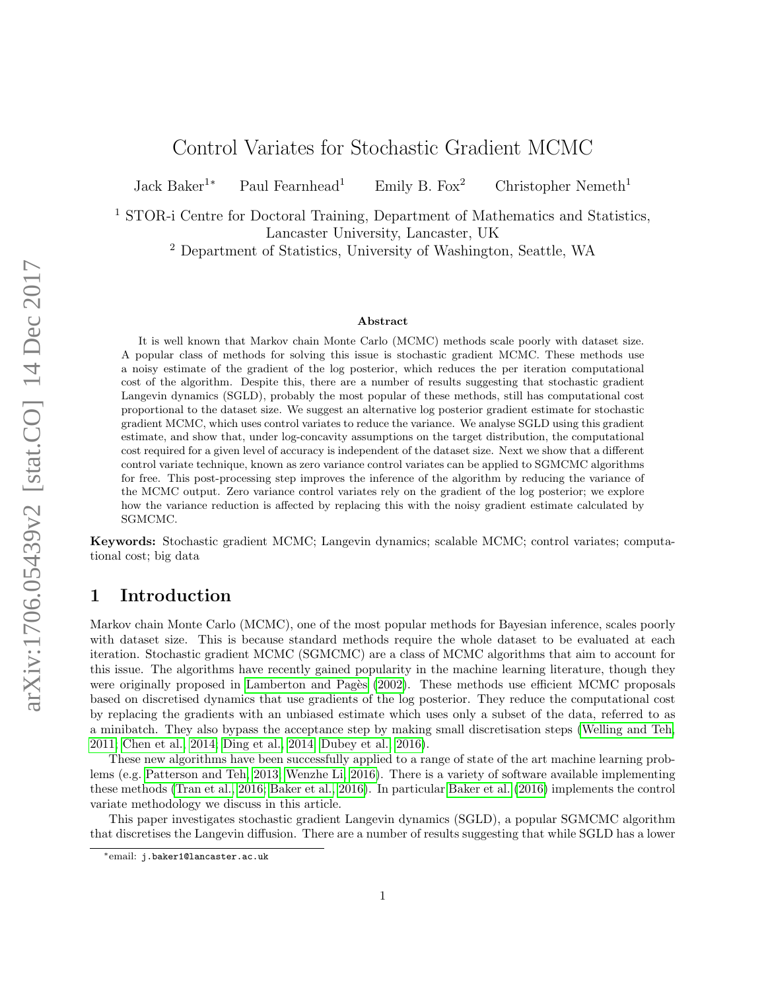# Control Variates for Stochastic Gradient MCMC

Jack Baker<sup>1</sup><sup>∗</sup> Paul Fearnhead<sup>1</sup> Emily B. Fox<sup>2</sup> Christopher Nemeth<sup>1</sup>

<sup>1</sup> STOR-i Centre for Doctoral Training, Department of Mathematics and Statistics, Lancaster University, Lancaster, UK

<sup>2</sup> Department of Statistics, University of Washington, Seattle, WA

#### Abstract

It is well known that Markov chain Monte Carlo (MCMC) methods scale poorly with dataset size. A popular class of methods for solving this issue is stochastic gradient MCMC. These methods use a noisy estimate of the gradient of the log posterior, which reduces the per iteration computational cost of the algorithm. Despite this, there are a number of results suggesting that stochastic gradient Langevin dynamics (SGLD), probably the most popular of these methods, still has computational cost proportional to the dataset size. We suggest an alternative log posterior gradient estimate for stochastic gradient MCMC, which uses control variates to reduce the variance. We analyse SGLD using this gradient estimate, and show that, under log-concavity assumptions on the target distribution, the computational cost required for a given level of accuracy is independent of the dataset size. Next we show that a different control variate technique, known as zero variance control variates can be applied to SGMCMC algorithms for free. This post-processing step improves the inference of the algorithm by reducing the variance of the MCMC output. Zero variance control variates rely on the gradient of the log posterior; we explore how the variance reduction is affected by replacing this with the noisy gradient estimate calculated by SGMCMC.

Keywords: Stochastic gradient MCMC; Langevin dynamics; scalable MCMC; control variates; computational cost; big data

# 1 Introduction

Markov chain Monte Carlo (MCMC), one of the most popular methods for Bayesian inference, scales poorly with dataset size. This is because standard methods require the whole dataset to be evaluated at each iteration. Stochastic gradient MCMC (SGMCMC) are a class of MCMC algorithms that aim to account for this issue. The algorithms have recently gained popularity in the machine learning literature, though they were originally proposed in Lamberton and Pagès (2002). These methods use efficient MCMC proposals based on discretised dynamics that use gradients of the log posterior. They reduce the computational cost by replacing the gradients with an unbiased estimate which uses only a subset of the data, referred to as a minibatch. They also bypass the acceptance step by making small discretisation steps [\(Welling and Teh,](#page-15-0) [2011;](#page-15-0) [Chen et al., 2014;](#page-14-1) [Ding et al., 2014;](#page-14-2) [Dubey et al., 2016\)](#page-14-3).

These new algorithms have been successfully applied to a range of state of the art machine learning problems (e.g. [Patterson and Teh, 2013;](#page-15-1) [Wenzhe Li, 2016\)](#page-15-2). There is a variety of software available implementing these methods [\(Tran et al., 2016;](#page-15-3) [Baker et al., 2016\)](#page-14-4). In particular [Baker et al. \(2016\)](#page-14-4) implements the control variate methodology we discuss in this article.

This paper investigates stochastic gradient Langevin dynamics (SGLD), a popular SGMCMC algorithm that discretises the Langevin diffusion. There are a number of results suggesting that while SGLD has a lower

<sup>∗</sup>email: j.baker1@lancaster.ac.uk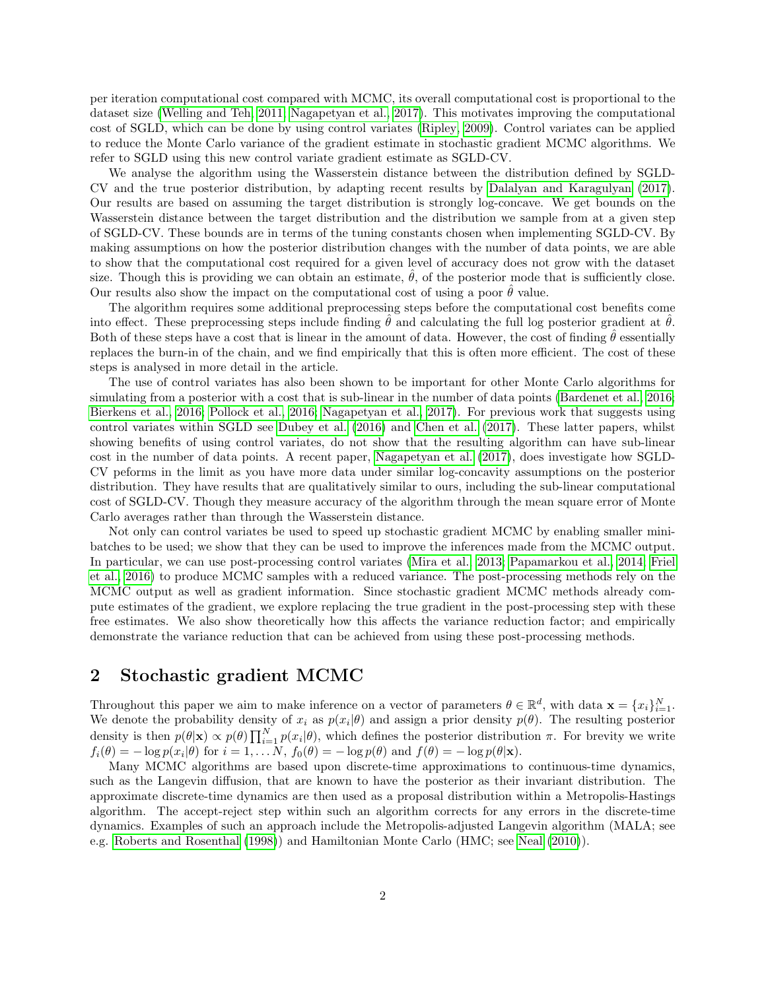per iteration computational cost compared with MCMC, its overall computational cost is proportional to the dataset size [\(Welling and Teh, 2011;](#page-15-0) [Nagapetyan et al., 2017\)](#page-15-4). This motivates improving the computational cost of SGLD, which can be done by using control variates [\(Ripley, 2009\)](#page-15-5). Control variates can be applied to reduce the Monte Carlo variance of the gradient estimate in stochastic gradient MCMC algorithms. We refer to SGLD using this new control variate gradient estimate as SGLD-CV.

We analyse the algorithm using the Wasserstein distance between the distribution defined by SGLD-CV and the true posterior distribution, by adapting recent results by [Dalalyan and Karagulyan \(2017\)](#page-14-5). Our results are based on assuming the target distribution is strongly log-concave. We get bounds on the Wasserstein distance between the target distribution and the distribution we sample from at a given step of SGLD-CV. These bounds are in terms of the tuning constants chosen when implementing SGLD-CV. By making assumptions on how the posterior distribution changes with the number of data points, we are able to show that the computational cost required for a given level of accuracy does not grow with the dataset size. Though this is providing we can obtain an estimate,  $\theta$ , of the posterior mode that is sufficiently close. Our results also show the impact on the computational cost of using a poor  $\theta$  value.

The algorithm requires some additional preprocessing steps before the computational cost benefits come into effect. These preprocessing steps include finding  $\hat{\theta}$  and calculating the full log posterior gradient at  $\hat{\theta}$ . Both of these steps have a cost that is linear in the amount of data. However, the cost of finding  $\hat{\theta}$  essentially replaces the burn-in of the chain, and we find empirically that this is often more efficient. The cost of these steps is analysed in more detail in the article.

The use of control variates has also been shown to be important for other Monte Carlo algorithms for simulating from a posterior with a cost that is sub-linear in the number of data points [\(Bardenet et al., 2016;](#page-14-6) [Bierkens et al., 2016;](#page-14-7) [Pollock et al., 2016;](#page-15-6) [Nagapetyan et al., 2017\)](#page-15-4). For previous work that suggests using control variates within SGLD see [Dubey et al. \(2016\)](#page-14-3) and [Chen et al. \(2017\)](#page-14-8). These latter papers, whilst showing benefits of using control variates, do not show that the resulting algorithm can have sub-linear cost in the number of data points. A recent paper, [Nagapetyan et al. \(2017\)](#page-15-4), does investigate how SGLD-CV peforms in the limit as you have more data under similar log-concavity assumptions on the posterior distribution. They have results that are qualitatively similar to ours, including the sub-linear computational cost of SGLD-CV. Though they measure accuracy of the algorithm through the mean square error of Monte Carlo averages rather than through the Wasserstein distance.

Not only can control variates be used to speed up stochastic gradient MCMC by enabling smaller minibatches to be used; we show that they can be used to improve the inferences made from the MCMC output. In particular, we can use post-processing control variates [\(Mira et al., 2013;](#page-14-9) [Papamarkou et al., 2014;](#page-15-7) [Friel](#page-14-10) [et al., 2016\)](#page-14-10) to produce MCMC samples with a reduced variance. The post-processing methods rely on the MCMC output as well as gradient information. Since stochastic gradient MCMC methods already compute estimates of the gradient, we explore replacing the true gradient in the post-processing step with these free estimates. We also show theoretically how this affects the variance reduction factor; and empirically demonstrate the variance reduction that can be achieved from using these post-processing methods.

# 2 Stochastic gradient MCMC

Throughout this paper we aim to make inference on a vector of parameters  $\theta \in \mathbb{R}^d$ , with data  $\mathbf{x} = \{x_i\}_{i=1}^N$ . We denote the probability density of  $x_i$  as  $p(x_i|\theta)$  and assign a prior density  $p(\theta)$ . The resulting posterior density is then  $p(\theta|\mathbf{x}) \propto p(\theta) \prod_{i=1}^{N} p(x_i|\theta)$ , which defines the posterior distribution  $\pi$ . For brevity we write  $f_i(\theta) = -\log p(x_i|\theta)$  for  $i = 1, ..., N$ ,  $f_0(\theta) = -\log p(\theta)$  and  $f(\theta) = -\log p(\theta|\mathbf{x})$ .

Many MCMC algorithms are based upon discrete-time approximations to continuous-time dynamics, such as the Langevin diffusion, that are known to have the posterior as their invariant distribution. The approximate discrete-time dynamics are then used as a proposal distribution within a Metropolis-Hastings algorithm. The accept-reject step within such an algorithm corrects for any errors in the discrete-time dynamics. Examples of such an approach include the Metropolis-adjusted Langevin algorithm (MALA; see e.g. [Roberts and Rosenthal \(1998\)](#page-15-8)) and Hamiltonian Monte Carlo (HMC; see [Neal \(2010\)](#page-15-9)).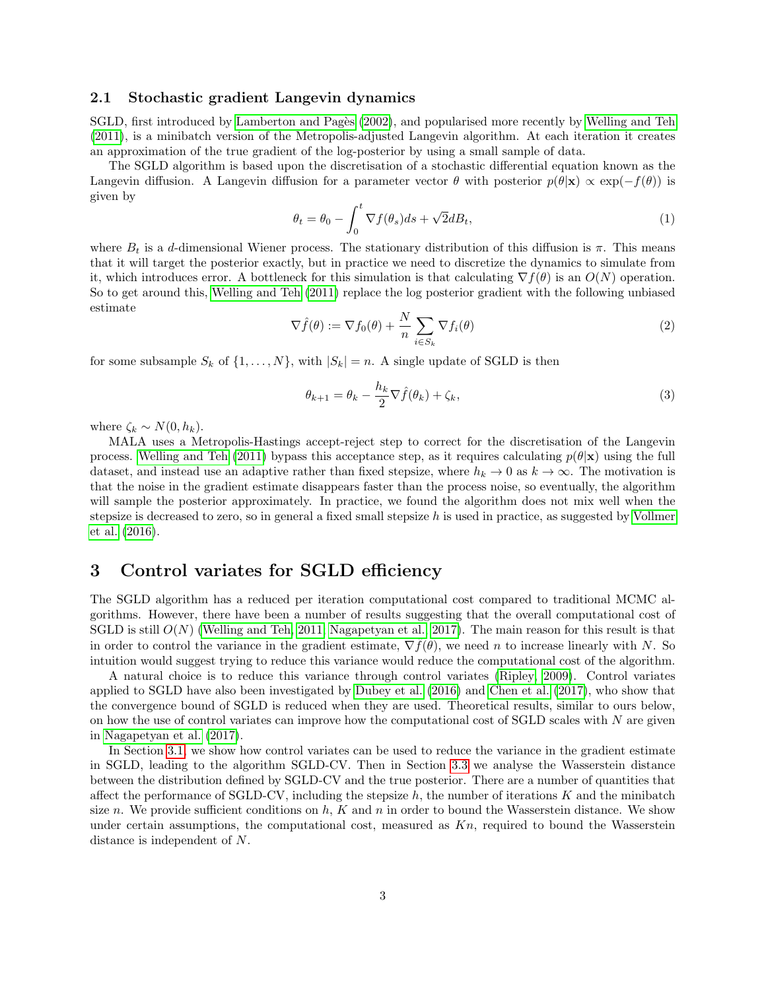#### 2.1 Stochastic gradient Langevin dynamics

SGLD, first introduced by Lamberton and Pagès (2002), and popularised more recently by [Welling and Teh](#page-15-0) [\(2011\)](#page-15-0), is a minibatch version of the Metropolis-adjusted Langevin algorithm. At each iteration it creates an approximation of the true gradient of the log-posterior by using a small sample of data.

The SGLD algorithm is based upon the discretisation of a stochastic differential equation known as the Langevin diffusion. A Langevin diffusion for a parameter vector  $\theta$  with posterior  $p(\theta|\mathbf{x}) \propto \exp(-f(\theta))$  is given by

$$
\theta_t = \theta_0 - \int_0^t \nabla f(\theta_s) ds + \sqrt{2} dB_t,
$$
\n(1)

where  $B_t$  is a d-dimensional Wiener process. The stationary distribution of this diffusion is  $\pi$ . This means that it will target the posterior exactly, but in practice we need to discretize the dynamics to simulate from it, which introduces error. A bottleneck for this simulation is that calculating  $\nabla f(\theta)$  is an  $O(N)$  operation. So to get around this, [Welling and Teh \(2011\)](#page-15-0) replace the log posterior gradient with the following unbiased estimate

<span id="page-2-0"></span>
$$
\nabla \hat{f}(\theta) := \nabla f_0(\theta) + \frac{N}{n} \sum_{i \in S_k} \nabla f_i(\theta)
$$
\n(2)

for some subsample  $S_k$  of  $\{1, \ldots, N\}$ , with  $|S_k| = n$ . A single update of SGLD is then

$$
\theta_{k+1} = \theta_k - \frac{h_k}{2} \nabla \hat{f}(\theta_k) + \zeta_k,\tag{3}
$$

where  $\zeta_k \sim N(0, h_k)$ .

MALA uses a Metropolis-Hastings accept-reject step to correct for the discretisation of the Langevin process. [Welling and Teh \(2011\)](#page-15-0) bypass this acceptance step, as it requires calculating  $p(\theta|\mathbf{x})$  using the full dataset, and instead use an adaptive rather than fixed stepsize, where  $h_k \to 0$  as  $k \to \infty$ . The motivation is that the noise in the gradient estimate disappears faster than the process noise, so eventually, the algorithm will sample the posterior approximately. In practice, we found the algorithm does not mix well when the stepsize is decreased to zero, so in general a fixed small stepsize  $h$  is used in practice, as suggested by [Vollmer](#page-15-10) [et al. \(2016\)](#page-15-10).

## 3 Control variates for SGLD efficiency

The SGLD algorithm has a reduced per iteration computational cost compared to traditional MCMC algorithms. However, there have been a number of results suggesting that the overall computational cost of SGLD is still  $O(N)$  [\(Welling and Teh, 2011;](#page-15-0) [Nagapetyan et al., 2017\)](#page-15-4). The main reason for this result is that in order to control the variance in the gradient estimate,  $\nabla \hat{f}(\theta)$ , we need n to increase linearly with N. So intuition would suggest trying to reduce this variance would reduce the computational cost of the algorithm.

A natural choice is to reduce this variance through control variates [\(Ripley, 2009\)](#page-15-5). Control variates applied to SGLD have also been investigated by [Dubey et al. \(2016\)](#page-14-3) and [Chen et al. \(2017\)](#page-14-8), who show that the convergence bound of SGLD is reduced when they are used. Theoretical results, similar to ours below, on how the use of control variates can improve how the computational cost of SGLD scales with  $N$  are given in [Nagapetyan et al. \(2017\)](#page-15-4).

In Section [3.1,](#page-3-0) we show how control variates can be used to reduce the variance in the gradient estimate in SGLD, leading to the algorithm SGLD-CV. Then in Section [3.3](#page-5-0) we analyse the Wasserstein distance between the distribution defined by SGLD-CV and the true posterior. There are a number of quantities that affect the performance of SGLD-CV, including the stepsize  $h$ , the number of iterations  $K$  and the minibatch size n. We provide sufficient conditions on  $h, K$  and n in order to bound the Wasserstein distance. We show under certain assumptions, the computational cost, measured as  $Kn$ , required to bound the Wasserstein distance is independent of N.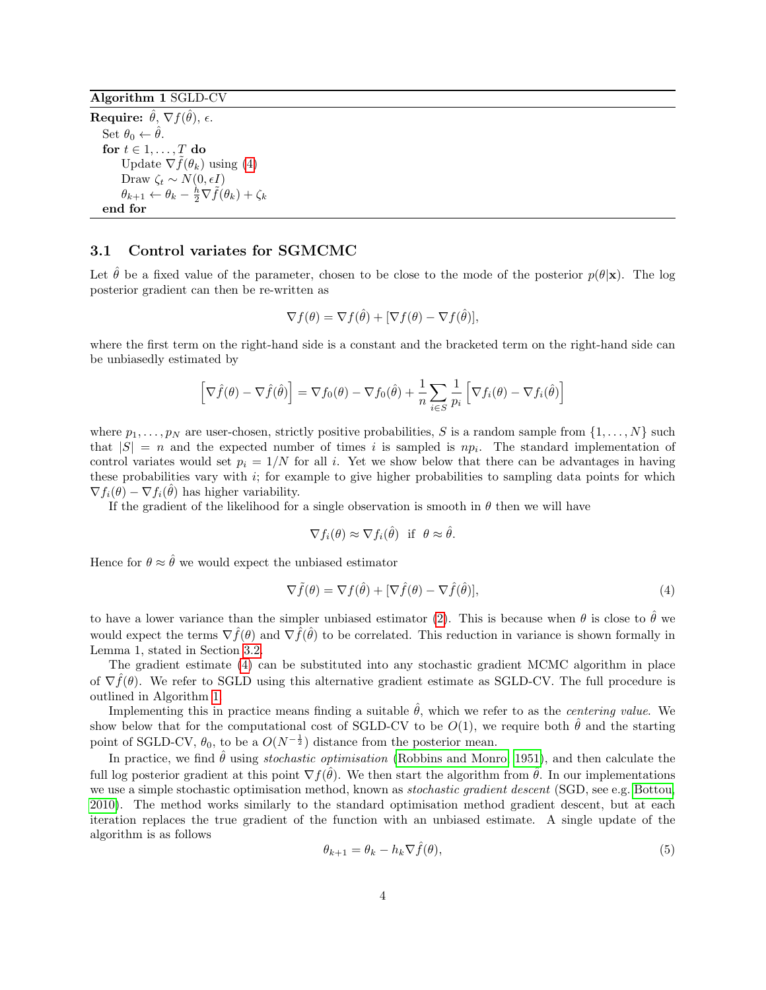<span id="page-3-2"></span>Algorithm 1 SGLD-CV

Require:  $\hat{\theta}, \, \nabla f(\hat{\theta}), \, \epsilon.$ Set  $\theta_0 \leftarrow \hat{\theta}$ . for  $t \in 1, \ldots, T$  do Update  $\nabla \tilde{f}(\theta_k)$  using [\(4\)](#page-3-1) Draw  $\zeta_t \sim N(0, \epsilon I)$  $\theta_{k+1} \leftarrow \theta_k - \frac{\hbar}{2} \nabla \tilde{f}(\theta_k) + \zeta_k$ end for

#### <span id="page-3-0"></span>3.1 Control variates for SGMCMC

Let  $\hat{\theta}$  be a fixed value of the parameter, chosen to be close to the mode of the posterior  $p(\theta|\mathbf{x})$ . The log posterior gradient can then be re-written as

$$
\nabla f(\theta) = \nabla f(\hat{\theta}) + [\nabla f(\theta) - \nabla f(\hat{\theta})],
$$

where the first term on the right-hand side is a constant and the bracketed term on the right-hand side can be unbiasedly estimated by

$$
\left[\nabla \hat{f}(\theta) - \nabla \hat{f}(\hat{\theta})\right] = \nabla f_0(\theta) - \nabla f_0(\hat{\theta}) + \frac{1}{n} \sum_{i \in S} \frac{1}{p_i} \left[\nabla f_i(\theta) - \nabla f_i(\hat{\theta})\right]
$$

where  $p_1, \ldots, p_N$  are user-chosen, strictly positive probabilities, S is a random sample from  $\{1, \ldots, N\}$  such that  $|S| = n$  and the expected number of times i is sampled is  $np_i$ . The standard implementation of control variates would set  $p_i = 1/N$  for all i. Yet we show below that there can be advantages in having these probabilities vary with  $i$ ; for example to give higher probabilities to sampling data points for which  $\nabla f_i(\hat{\theta}) - \nabla f_i(\hat{\theta})$  has higher variability.

If the gradient of the likelihood for a single observation is smooth in  $\theta$  then we will have

$$
\nabla f_i(\theta) \approx \nabla f_i(\hat{\theta}) \text{ if } \theta \approx \hat{\theta}.
$$

Hence for  $\theta \approx \hat{\theta}$  we would expect the unbiased estimator

<span id="page-3-1"></span>
$$
\nabla \tilde{f}(\theta) = \nabla f(\hat{\theta}) + [\nabla \hat{f}(\theta) - \nabla \hat{f}(\hat{\theta})],\tag{4}
$$

to have a lower variance than the simpler unbiased estimator [\(2\)](#page-2-0). This is because when  $\theta$  is close to  $\hat{\theta}$  we would expect the terms  $\nabla \hat{f}(\theta)$  and  $\nabla \hat{f}(\hat{\theta})$  to be correlated. This reduction in variance is shown formally in Lemma 1, stated in Section [3.2.](#page-4-0)

The gradient estimate [\(4\)](#page-3-1) can be substituted into any stochastic gradient MCMC algorithm in place of  $\nabla \hat{f}(\theta)$ . We refer to SGLD using this alternative gradient estimate as SGLD-CV. The full procedure is outlined in Algorithm [1.](#page-3-2)

Implementing this in practice means finding a suitable  $\hat{\theta}$ , which we refer to as the *centering value*. We show below that for the computational cost of SGLD-CV to be  $O(1)$ , we require both  $\hat{\theta}$  and the starting point of SGLD-CV,  $\theta_0$ , to be a  $O(N^{-\frac{1}{2}})$  distance from the posterior mean.

In practice, we find  $\hat{\theta}$  using *stochastic optimisation* [\(Robbins and Monro, 1951\)](#page-15-11), and then calculate the full log posterior gradient at this point  $\nabla f(\hat{\theta})$ . We then start the algorithm from  $\hat{\theta}$ . In our implementations we use a simple stochastic optimisation method, known as *stochastic gradient descent* (SGD, see e.g. [Bottou,](#page-14-11) [2010\)](#page-14-11). The method works similarly to the standard optimisation method gradient descent, but at each iteration replaces the true gradient of the function with an unbiased estimate. A single update of the algorithm is as follows

$$
\theta_{k+1} = \theta_k - h_k \nabla \hat{f}(\theta),\tag{5}
$$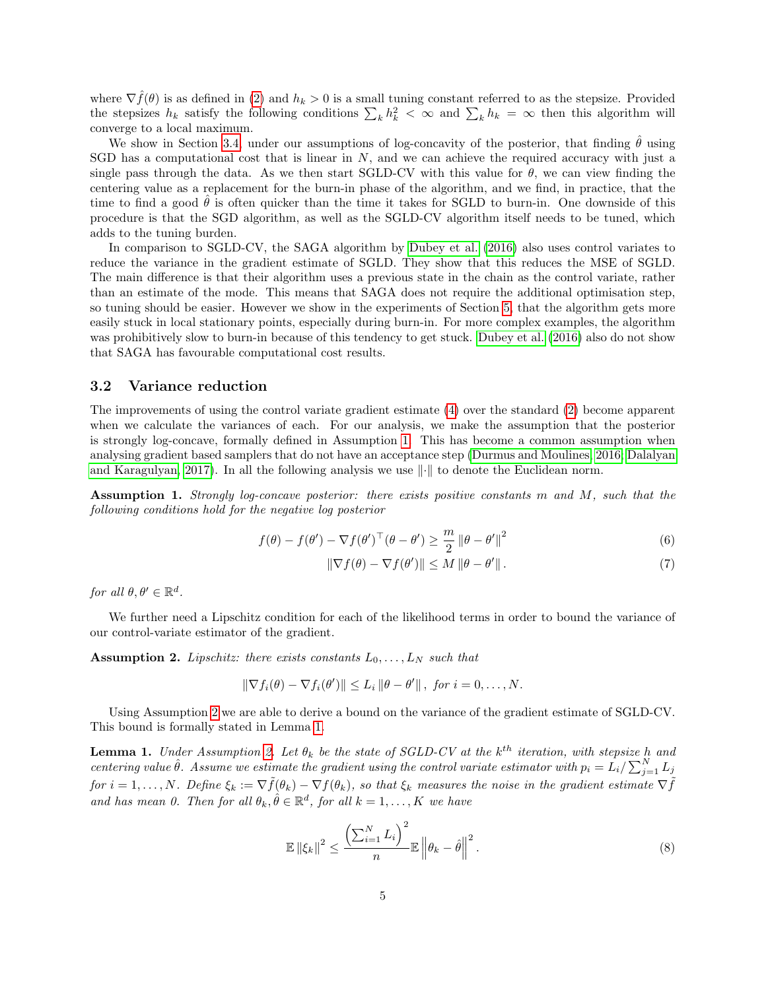where  $\nabla \hat{f}(\theta)$  is as defined in [\(2\)](#page-2-0) and  $h_k > 0$  is a small tuning constant referred to as the stepsize. Provided the stepsizes  $h_k$  satisfy the following conditions  $\sum_k h_k^2 < \infty$  and  $\sum_k h_k = \infty$  then this algorithm will converge to a local maximum.

We show in Section [3.4,](#page-7-0) under our assumptions of log-concavity of the posterior, that finding  $\hat{\theta}$  using SGD has a computational cost that is linear in  $N$ , and we can achieve the required accuracy with just a single pass through the data. As we then start SGLD-CV with this value for  $\theta$ , we can view finding the centering value as a replacement for the burn-in phase of the algorithm, and we find, in practice, that the time to find a good  $\theta$  is often quicker than the time it takes for SGLD to burn-in. One downside of this procedure is that the SGD algorithm, as well as the SGLD-CV algorithm itself needs to be tuned, which adds to the tuning burden.

In comparison to SGLD-CV, the SAGA algorithm by [Dubey et al. \(2016\)](#page-14-3) also uses control variates to reduce the variance in the gradient estimate of SGLD. They show that this reduces the MSE of SGLD. The main difference is that their algorithm uses a previous state in the chain as the control variate, rather than an estimate of the mode. This means that SAGA does not require the additional optimisation step, so tuning should be easier. However we show in the experiments of Section [5,](#page-10-0) that the algorithm gets more easily stuck in local stationary points, especially during burn-in. For more complex examples, the algorithm was prohibitively slow to burn-in because of this tendency to get stuck. [Dubey et al. \(2016\)](#page-14-3) also do not show that SAGA has favourable computational cost results.

#### <span id="page-4-0"></span>3.2 Variance reduction

The improvements of using the control variate gradient estimate [\(4\)](#page-3-1) over the standard [\(2\)](#page-2-0) become apparent when we calculate the variances of each. For our analysis, we make the assumption that the posterior is strongly log-concave, formally defined in Assumption [1.](#page-4-1) This has become a common assumption when analysing gradient based samplers that do not have an acceptance step [\(Durmus and Moulines, 2016;](#page-14-12) [Dalalyan](#page-14-5) [and Karagulyan, 2017\)](#page-14-5). In all the following analysis we use  $\|\cdot\|$  to denote the Euclidean norm.

<span id="page-4-1"></span>Assumption 1. Strongly log-concave posterior: there exists positive constants m and M, such that the following conditions hold for the negative log posterior

$$
f(\theta) - f(\theta') - \nabla f(\theta')^\top (\theta - \theta') \ge \frac{m}{2} ||\theta - \theta'||^2
$$
 (6)

$$
\|\nabla f(\theta) - \nabla f(\theta')\| \le M \|\theta - \theta'\|.
$$
\n(7)

for all  $\theta, \theta' \in \mathbb{R}^d$ .

We further need a Lipschitz condition for each of the likelihood terms in order to bound the variance of our control-variate estimator of the gradient.

<span id="page-4-2"></span>**Assumption 2.** Lipschitz: there exists constants  $L_0, \ldots, L_N$  such that

$$
\|\nabla f_i(\theta) - \nabla f_i(\theta')\| \le L_i \|\theta - \theta'\|, \text{ for } i = 0,\ldots,N.
$$

Using Assumption [2](#page-4-2) we are able to derive a bound on the variance of the gradient estimate of SGLD-CV. This bound is formally stated in Lemma [1.](#page-4-3)

<span id="page-4-3"></span>**Lemma 1.** Under Assumption [2.](#page-4-2) Let  $\theta_k$  be the state of SGLD-CV at the  $k^{th}$  iteration, with stepsize h and centering value  $\hat{\theta}$ . Assume we estimate the gradient using the control variate estimator with  $p_i = L_i / \sum_{j=1}^{N} L_j$ for  $i = 1, \ldots, N$ . Define  $\xi_k := \nabla \tilde{f}(\theta_k) - \nabla f(\theta_k)$ , so that  $\xi_k$  measures the noise in the gradient estimate  $\nabla \tilde{f}$ and has mean 0. Then for all  $\theta_k, \hat{\theta} \in \mathbb{R}^d$ , for all  $k = 1, ..., K$  we have

<span id="page-4-4"></span>
$$
\mathbb{E} \left\| \xi_k \right\|^2 \le \frac{\left( \sum_{i=1}^N L_i \right)^2}{n} \mathbb{E} \left\| \theta_k - \hat{\theta} \right\|^2. \tag{8}
$$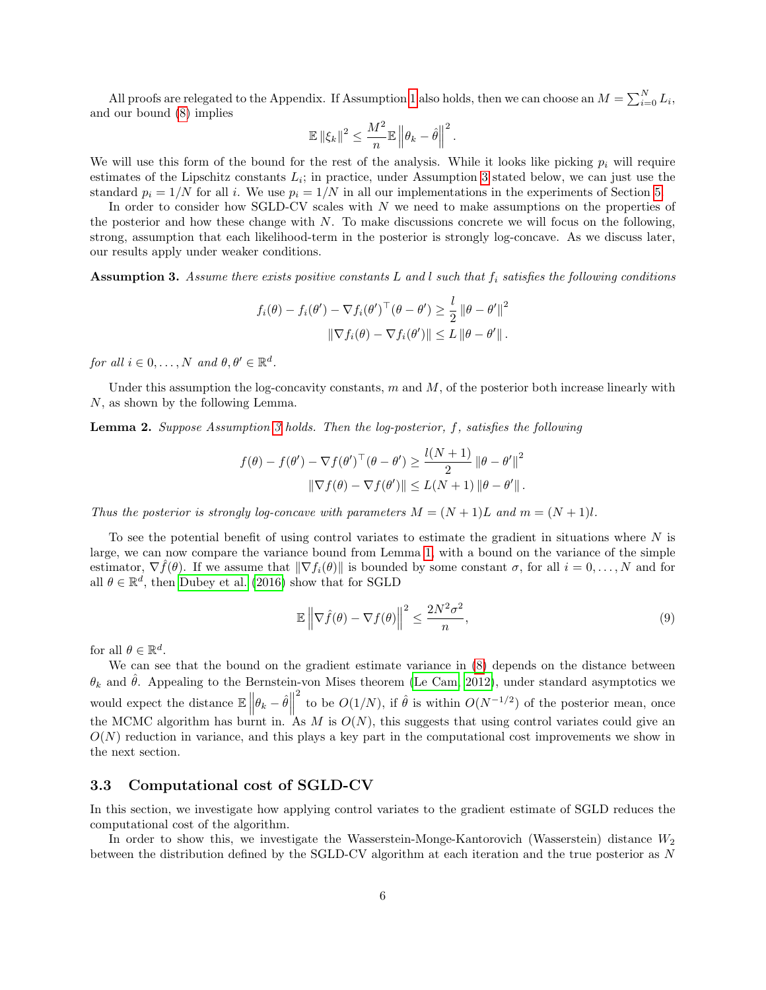All proofs are relegated to the Appendix. If Assumption [1](#page-4-1) also holds, then we can choose an  $M = \sum_{i=0}^{N} L_i$ , and our bound [\(8\)](#page-4-4) implies

$$
\mathbb{E} \left\| \xi_k \right\|^2 \leq \frac{M^2}{n} \mathbb{E} \left\| \theta_k - \hat{\theta} \right\|^2.
$$

We will use this form of the bound for the rest of the analysis. While it looks like picking  $p_i$  will require estimates of the Lipschitz constants  $L_i$ ; in practice, under Assumption [3](#page-5-1) stated below, we can just use the standard  $p_i = 1/N$  for all i. We use  $p_i = 1/N$  in all our implementations in the experiments of Section [5.](#page-10-0)

In order to consider how SGLD-CV scales with N we need to make assumptions on the properties of the posterior and how these change with N. To make discussions concrete we will focus on the following, strong, assumption that each likelihood-term in the posterior is strongly log-concave. As we discuss later, our results apply under weaker conditions.

<span id="page-5-1"></span>**Assumption 3.** Assume there exists positive constants L and l such that  $f_i$  satisfies the following conditions

$$
f_i(\theta) - f_i(\theta') - \nabla f_i(\theta')^\top (\theta - \theta') \geq \frac{l}{2} ||\theta - \theta'||^2
$$
  

$$
||\nabla f_i(\theta) - \nabla f_i(\theta')|| \leq L ||\theta - \theta'||.
$$

for all  $i \in 0, ..., N$  and  $\theta, \theta' \in \mathbb{R}^d$ .

Under this assumption the log-concavity constants,  $m$  and  $M$ , of the posterior both increase linearly with N, as shown by the following Lemma.

<span id="page-5-2"></span>Lemma 2. Suppose Assumption [3](#page-5-1) holds. Then the log-posterior, f, satisfies the following

$$
f(\theta) - f(\theta') - \nabla f(\theta')^\top (\theta - \theta') \ge \frac{l(N+1)}{2} ||\theta - \theta'||^2
$$
  

$$
||\nabla f(\theta) - \nabla f(\theta')|| \le L(N+1) ||\theta - \theta'||.
$$

Thus the posterior is strongly log-concave with parameters  $M = (N + 1)L$  and  $m = (N + 1)L$ .

To see the potential benefit of using control variates to estimate the gradient in situations where  $N$  is large, we can now compare the variance bound from Lemma [1,](#page-4-3) with a bound on the variance of the simple estimator,  $\nabla f(\theta)$ . If we assume that  $\|\nabla f_i(\theta)\|$  is bounded by some constant  $\sigma$ , for all  $i = 0, \ldots, N$  and for all  $\theta \in \mathbb{R}^d$ , then [Dubey et al. \(2016\)](#page-14-3) show that for SGLD

$$
\mathbb{E}\left\|\nabla\hat{f}(\theta) - \nabla f(\theta)\right\|^2 \le \frac{2N^2\sigma^2}{n},\tag{9}
$$

for all  $\theta \in \mathbb{R}^d$ .

We can see that the bound on the gradient estimate variance in  $(8)$  depends on the distance between  $\theta_k$  and  $\hat{\theta}$ . Appealing to the Bernstein-von Mises theorem [\(Le Cam, 2012\)](#page-14-13), under standard asymptotics we would expect the distance  $\mathbb{E}\left\|\theta_k - \hat{\theta}\right\|$ <sup>2</sup> to be  $O(1/N)$ , if  $\hat{\theta}$  is within  $O(N^{-1/2})$  of the posterior mean, once the MCMC algorithm has burnt in. As M is  $O(N)$ , this suggests that using control variates could give an  $O(N)$  reduction in variance, and this plays a key part in the computational cost improvements we show in the next section.

#### <span id="page-5-0"></span>3.3 Computational cost of SGLD-CV

In this section, we investigate how applying control variates to the gradient estimate of SGLD reduces the computational cost of the algorithm.

In order to show this, we investigate the Wasserstein-Monge-Kantorovich (Wasserstein) distance  $W_2$ between the distribution defined by the SGLD-CV algorithm at each iteration and the true posterior as N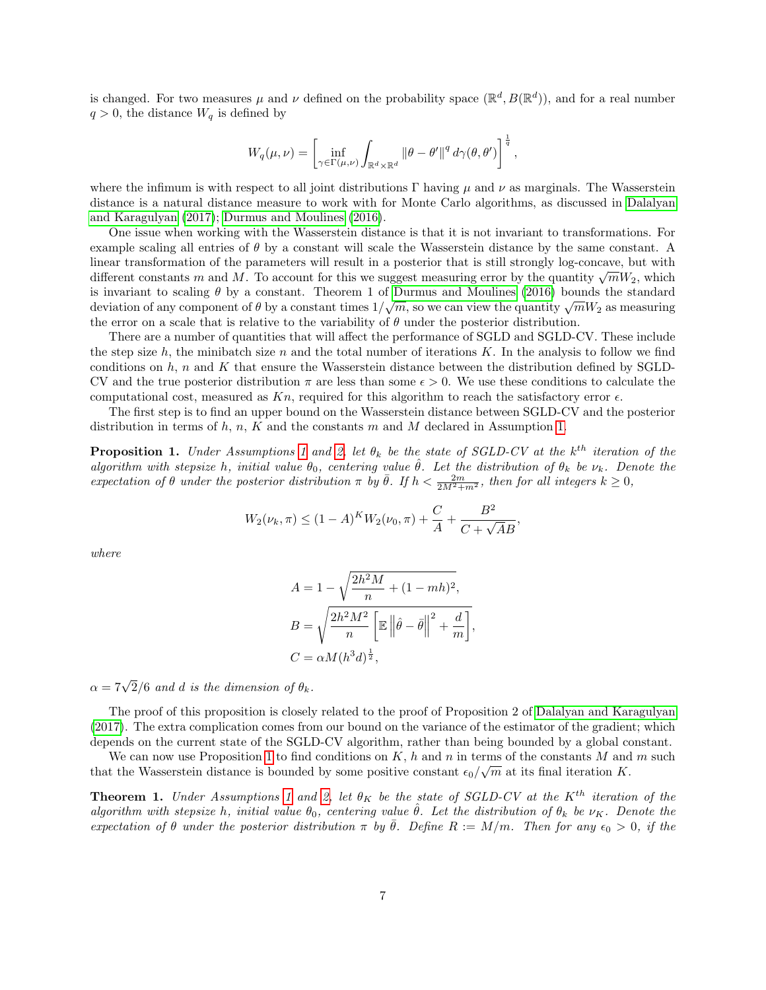is changed. For two measures  $\mu$  and  $\nu$  defined on the probability space  $(\mathbb{R}^d, B(\mathbb{R}^d))$ , and for a real number  $q > 0$ , the distance  $W_q$  is defined by

$$
W_q(\mu,\nu)=\left[\inf_{\gamma\in\Gamma(\mu,\nu)}\int_{\mathbb{R}^d\times\mathbb{R}^d}\left\|\theta-\theta'\right\|^q d\gamma(\theta,\theta')\right]^{\frac{1}{q}},
$$

where the infimum is with respect to all joint distributions  $\Gamma$  having  $\mu$  and  $\nu$  as marginals. The Wasserstein distance is a natural distance measure to work with for Monte Carlo algorithms, as discussed in [Dalalyan](#page-14-5) [and Karagulyan \(2017\)](#page-14-5); [Durmus and Moulines \(2016\)](#page-14-12).

One issue when working with the Wasserstein distance is that it is not invariant to transformations. For example scaling all entries of  $\theta$  by a constant will scale the Wasserstein distance by the same constant. A linear transformation of the parameters will result in a posterior that is still strongly log-concave, but with different constants m and M. To account for this we suggest measuring error by the quantity  $\sqrt{m}W_2$ , which is invariant to scaling  $\theta$  by a constant. Theorem 1 of [Durmus and Moulines \(2016\)](#page-14-12) bounds the standard is invariant to scaling  $\theta$  by a constant. Theorem 1 of Durinus and Mounnes (2010) bounds the standard deviation of any component of  $\theta$  by a constant times  $1/\sqrt{m}$ , so we can view the quantity  $\sqrt{m}W_2$  as measuring the error on a scale that is relative to the variability of  $\theta$  under the posterior distribution.

There are a number of quantities that will affect the performance of SGLD and SGLD-CV. These include the step size h, the minibatch size n and the total number of iterations K. In the analysis to follow we find conditions on  $h$ , n and K that ensure the Wasserstein distance between the distribution defined by SGLD-CV and the true posterior distribution  $\pi$  are less than some  $\epsilon > 0$ . We use these conditions to calculate the computational cost, measured as  $Kn$ , required for this algorithm to reach the satisfactory error  $\epsilon$ .

The first step is to find an upper bound on the Wasserstein distance between SGLD-CV and the posterior distribution in terms of h, n, K and the constants m and M declared in Assumption [1.](#page-4-1)

<span id="page-6-0"></span>**Proposition [1](#page-4-1).** Under Assumptions 1 and [2,](#page-4-2) let  $\theta_k$  be the state of SGLD-CV at the  $k^{th}$  iteration of the algorithm with stepsize h, initial value  $\theta_0$ , centering value  $\hat{\theta}$ . Let the distribution of  $\theta_k$  be  $\nu_k$ . Denote the expectation of  $\theta$  under the posterior distribution  $\pi$  by  $\bar{\theta}$ . If  $h < \frac{2m}{2M^2 + m^2}$ , then for all integers  $k \ge 0$ ,

$$
W_2(\nu_k, \pi) \le (1 - A)^K W_2(\nu_0, \pi) + \frac{C}{A} + \frac{B^2}{C + \sqrt{A}B},
$$

where

$$
A = 1 - \sqrt{\frac{2h^2M}{n} + (1 - mh)^2},
$$
  
\n
$$
B = \sqrt{\frac{2h^2M^2}{n} \left[\mathbb{E} \left\|\hat{\theta} - \bar{\theta}\right\|^2 + \frac{d}{m}\right]},
$$
  
\n
$$
C = \alpha M (h^3 d)^{\frac{1}{2}},
$$

 $\alpha = 7\sqrt{2}/6$  and d is the dimension of  $\theta_k$ .

The proof of this proposition is closely related to the proof of Proposition 2 of [Dalalyan and Karagulyan](#page-14-5) [\(2017\)](#page-14-5). The extra complication comes from our bound on the variance of the estimator of the gradient; which depends on the current state of the SGLD-CV algorithm, rather than being bounded by a global constant.

We can now use Proposition [1](#page-6-0) to find conditions on K, h and n in terms of the constants M and m such  $\overline{M}$ that the Wasserstein distance is bounded by some positive constant  $\epsilon_0/\sqrt{m}$  at its final iteration K.

<span id="page-6-1"></span>**Theorem [1](#page-4-1).** Under Assumptions 1 and [2,](#page-4-2) let  $\theta_K$  be the state of SGLD-CV at the K<sup>th</sup> iteration of the algorithm with stepsize h, initial value  $\theta_0$ , centering value  $\hat{\theta}$ . Let the distribution of  $\theta_k$  be  $\nu_K$ . Denote the expectation of  $\theta$  under the posterior distribution  $\pi$  by  $\bar{\theta}$ . Define  $R := M/m$ . Then for any  $\epsilon_0 > 0$ , if the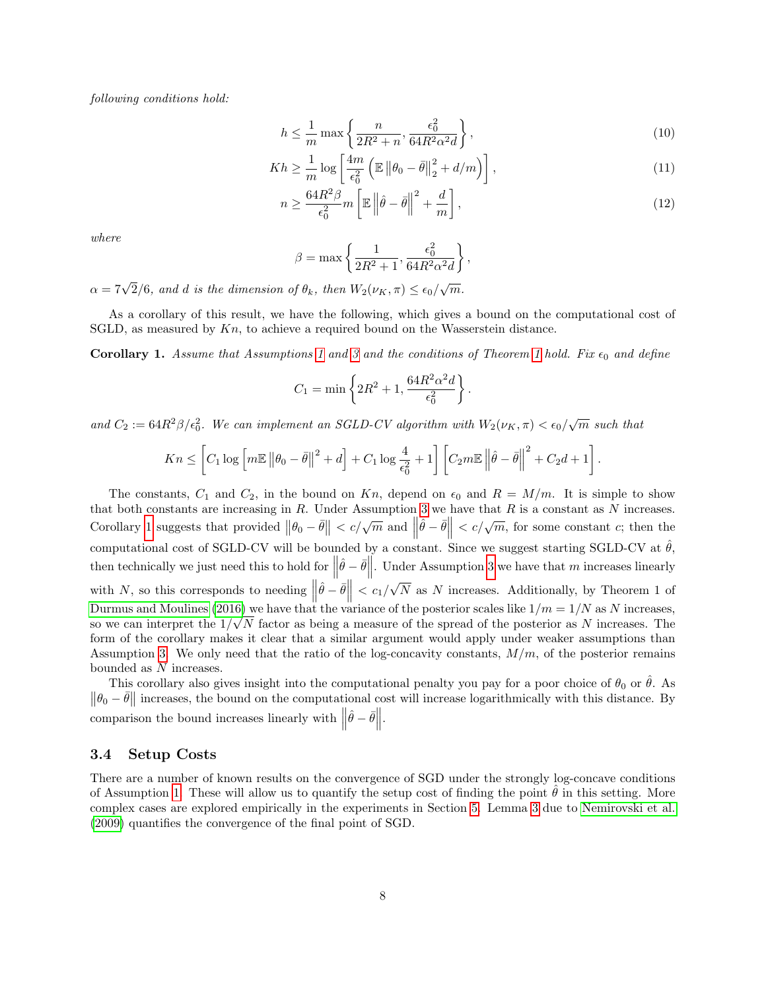following conditions hold:

$$
h \le \frac{1}{m} \max \left\{ \frac{n}{2R^2 + n}, \frac{\epsilon_0^2}{64R^2 \alpha^2 d} \right\},\tag{10}
$$

$$
Kh \geq \frac{1}{m} \log \left[ \frac{4m}{\epsilon_0^2} \left( \mathbb{E} \left\| \theta_0 - \bar{\theta} \right\|_2^2 + d/m \right) \right],\tag{11}
$$

$$
n \ge \frac{64R^2\beta}{\epsilon_0^2} m \left[ \mathbb{E} \left\| \hat{\theta} - \bar{\theta} \right\|^2 + \frac{d}{m} \right],\tag{12}
$$

where

$$
\beta = \max \left\{ \frac{1}{2R^2 + 1}, \frac{\epsilon_0^2}{64R^2\alpha^2 d} \right\},\,
$$

 $\alpha = 7\sqrt{2}/6$ , and d is the dimension of  $\theta_k$ , then  $W_2(\nu_K, \pi) \leq \epsilon_0/\sqrt{m}$ .

As a corollary of this result, we have the following, which gives a bound on the computational cost of SGLD, as measured by  $Kn$ , to achieve a required bound on the Wasserstein distance.

<span id="page-7-1"></span>**Corollary [1](#page-6-1).** Assume that Assumptions 1 and [3](#page-5-1) and the conditions of Theorem 1 hold. Fix  $\epsilon_0$  and define

$$
C_1 = \min \left\{ 2R^2 + 1, \frac{64R^2\alpha^2d}{\epsilon_0^2} \right\}.
$$

and  $C_2 := 64R^2\beta/\epsilon_0^2$ . We can implement an SGLD-CV algorithm with  $W_2(\nu_K, \pi) < \epsilon_0/\sqrt{m}$  such that

$$
Kn \leq \left[C_1 \log \left[m\mathbb{E} \left\|\theta_0 - \bar{\theta}\right\|^2 + d\right] + C_1 \log \frac{4}{\epsilon_0^2} + 1\right] \left[C_2 m \mathbb{E} \left\|\hat{\theta} - \bar{\theta}\right\|^2 + C_2 d + 1\right].
$$

The constants,  $C_1$  and  $C_2$ , in the bound on Kn, depend on  $\epsilon_0$  and  $R = M/m$ . It is simple to show that both constants are increasing in  $R$ . Under Assumption [3](#page-5-1) we have that  $R$  is a constant as  $N$  increases. Corollary [1](#page-7-1) suggests that provided  $\|\theta_0 - \bar{\theta}\| < c/\sqrt{m}$  and  $\|\hat{\theta} - \bar{\theta}\| < c/\sqrt{m}$ , for some constant c; then the computational cost of SGLD-CV will be bounded by a constant. Since we suggest starting SGLD-CV at  $\hat{\theta}$ , then technically we just need this to hold for  $\|\hat{\theta} - \bar{\theta}\|$ . Under Assumption [3](#page-5-1) we have that m increases linearly with N, so this corresponds to needing  $\left\|\hat{\theta} - \bar{\theta}\right\| < c_1/$ √ N as N increases. Additionally, by Theorem 1 of [Durmus and Moulines \(2016\)](#page-14-12) we have that the variance of the posterior scales like  $1/m = 1/N$  as N increases, so we can interpret the  $1/\sqrt{N}$  factor as being a measure of the spread of the posterior as N increases. The form of the corollary makes it clear that a similar argument would apply under weaker assumptions than Assumption [3.](#page-5-1) We only need that the ratio of the log-concavity constants,  $M/m$ , of the posterior remains bounded as N increases.

This corollary also gives insight into the computational penalty you pay for a poor choice of  $\theta_0$  or  $\hat{\theta}$ . As  $\|\theta_0 - \bar{\theta}\|$  increases, the bound on the computational cost will increase logarithmically with this distance. By comparison the bound increases linearly with  $\left\|\hat{\theta} - \bar{\theta}\right\|$ .

#### <span id="page-7-0"></span>3.4 Setup Costs

There are a number of known results on the convergence of SGD under the strongly log-concave conditions of Assumption [1.](#page-4-1) These will allow us to quantify the setup cost of finding the point  $\hat{\theta}$  in this setting. More complex cases are explored empirically in the experiments in Section [5.](#page-10-0) Lemma [3](#page-8-0) due to [Nemirovski et al.](#page-15-12) [\(2009\)](#page-15-12) quantifies the convergence of the final point of SGD.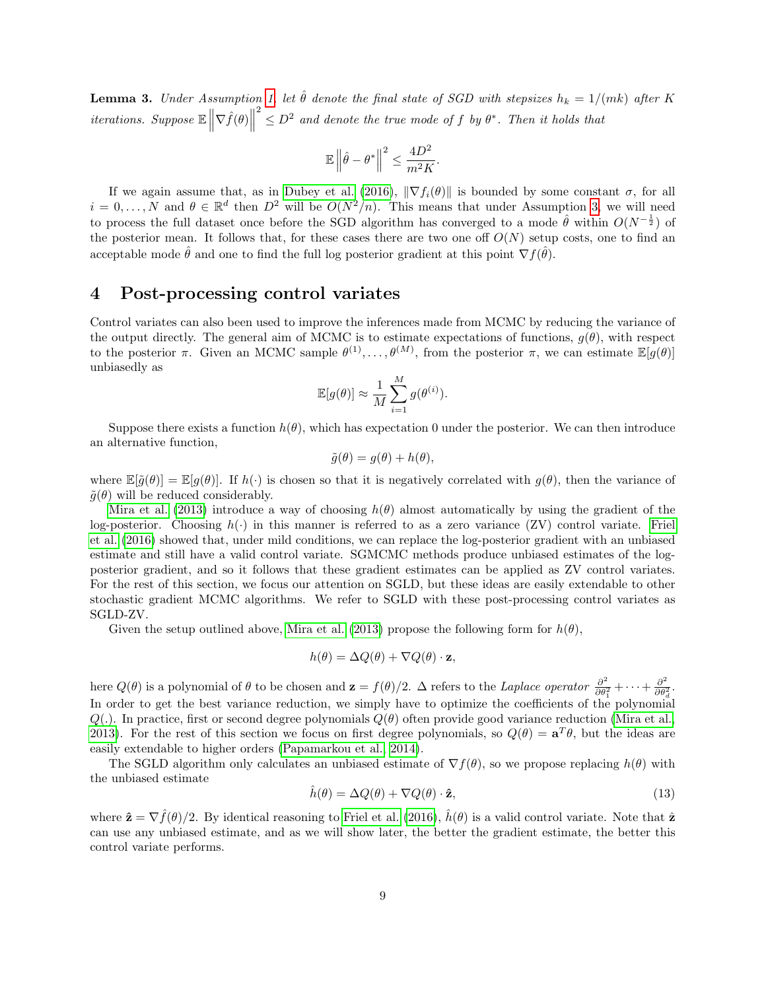<span id="page-8-0"></span>**Lemma 3.** Under Assumption [1,](#page-4-1) let  $\hat{\theta}$  denote the final state of SGD with stepsizes  $h_k = 1/(mk)$  after K *iterations.* Suppose  $\mathbb{E}\left\|\nabla \hat{f}(\theta)\right\|$  $\frac{2}{\epsilon} \leq D^2$  and denote the true mode of f by  $\theta^*$ . Then it holds that

$$
\mathbb{E}\left\|\hat{\theta}-\theta^*\right\|^2 \leq \frac{4D^2}{m^2K}.
$$

If we again assume that, as in [Dubey et al. \(2016\)](#page-14-3),  $\|\nabla f_i(\theta)\|$  is bounded by some constant  $\sigma$ , for all  $i = 0, \ldots, N$  and  $\theta \in \mathbb{R}^d$  then  $D^2$  will be  $O(N^2/n)$ . This means that under Assumption [3,](#page-5-1) we will need to process the full dataset once before the SGD algorithm has converged to a mode  $\hat{\theta}$  within  $O(N^{-\frac{1}{2}})$  of the posterior mean. It follows that, for these cases there are two one off  $O(N)$  setup costs, one to find an acceptable mode  $\hat{\theta}$  and one to find the full log posterior gradient at this point  $\nabla f(\hat{\theta})$ .

### 4 Post-processing control variates

Control variates can also been used to improve the inferences made from MCMC by reducing the variance of the output directly. The general aim of MCMC is to estimate expectations of functions,  $g(\theta)$ , with respect to the posterior  $\pi$ . Given an MCMC sample  $\theta^{(1)}, \ldots, \theta^{(M)}$ , from the posterior  $\pi$ , we can estimate  $\mathbb{E}[g(\theta)]$ unbiasedly as

$$
\mathbb{E}[g(\theta)] \approx \frac{1}{M} \sum_{i=1}^{M} g(\theta^{(i)}).
$$

Suppose there exists a function  $h(\theta)$ , which has expectation 0 under the posterior. We can then introduce an alternative function,

$$
\tilde{g}(\theta) = g(\theta) + h(\theta),
$$

where  $\mathbb{E}[\tilde{q}(\theta)] = \mathbb{E}[q(\theta)].$  If  $h(\cdot)$  is chosen so that it is negatively correlated with  $q(\theta)$ , then the variance of  $\tilde{g}(\theta)$  will be reduced considerably.

[Mira et al. \(2013\)](#page-14-9) introduce a way of choosing  $h(\theta)$  almost automatically by using the gradient of the log-posterior. Choosing  $h(\cdot)$  in this manner is referred to as a zero variance (ZV) control variate. [Friel](#page-14-10) [et al. \(2016\)](#page-14-10) showed that, under mild conditions, we can replace the log-posterior gradient with an unbiased estimate and still have a valid control variate. SGMCMC methods produce unbiased estimates of the logposterior gradient, and so it follows that these gradient estimates can be applied as ZV control variates. For the rest of this section, we focus our attention on SGLD, but these ideas are easily extendable to other stochastic gradient MCMC algorithms. We refer to SGLD with these post-processing control variates as SGLD-ZV.

Given the setup outlined above, [Mira et al. \(2013\)](#page-14-9) propose the following form for  $h(\theta)$ ,

$$
h(\theta) = \Delta Q(\theta) + \nabla Q(\theta) \cdot \mathbf{z},
$$

here  $Q(\theta)$  is a polynomial of  $\theta$  to be chosen and  $\mathbf{z} = f(\theta)/2$ .  $\Delta$  refers to the Laplace operator  $\frac{\partial^2}{\partial \theta^2}$  $\frac{\partial^2}{\partial \theta_1^2} + \cdots + \frac{\partial^2}{\partial \theta_2^2}$ In order to get the best variance reduction, we simply have to optimize the coefficients of the polynomial  $\frac{\partial^2}{\partial \theta_d^2}$ .  $Q(.)$ . In practice, first or second degree polynomials  $Q(\theta)$  often provide good variance reduction [\(Mira et al.,](#page-14-9) [2013\)](#page-14-9). For the rest of this section we focus on first degree polynomials, so  $Q(\theta) = \mathbf{a}^T\theta$ , but the ideas are easily extendable to higher orders [\(Papamarkou et al., 2014\)](#page-15-7).

The SGLD algorithm only calculates an unbiased estimate of  $\nabla f(\theta)$ , so we propose replacing  $h(\theta)$  with the unbiased estimate

$$
\hat{h}(\theta) = \Delta Q(\theta) + \nabla Q(\theta) \cdot \hat{\mathbf{z}},\tag{13}
$$

where  $\hat{\mathbf{z}} = \nabla \hat{f}(\theta)/2$ . By identical reasoning to [Friel et al. \(2016\)](#page-14-10),  $\hat{h}(\theta)$  is a valid control variate. Note that  $\hat{\mathbf{z}}$ can use any unbiased estimate, and as we will show later, the better the gradient estimate, the better this control variate performs.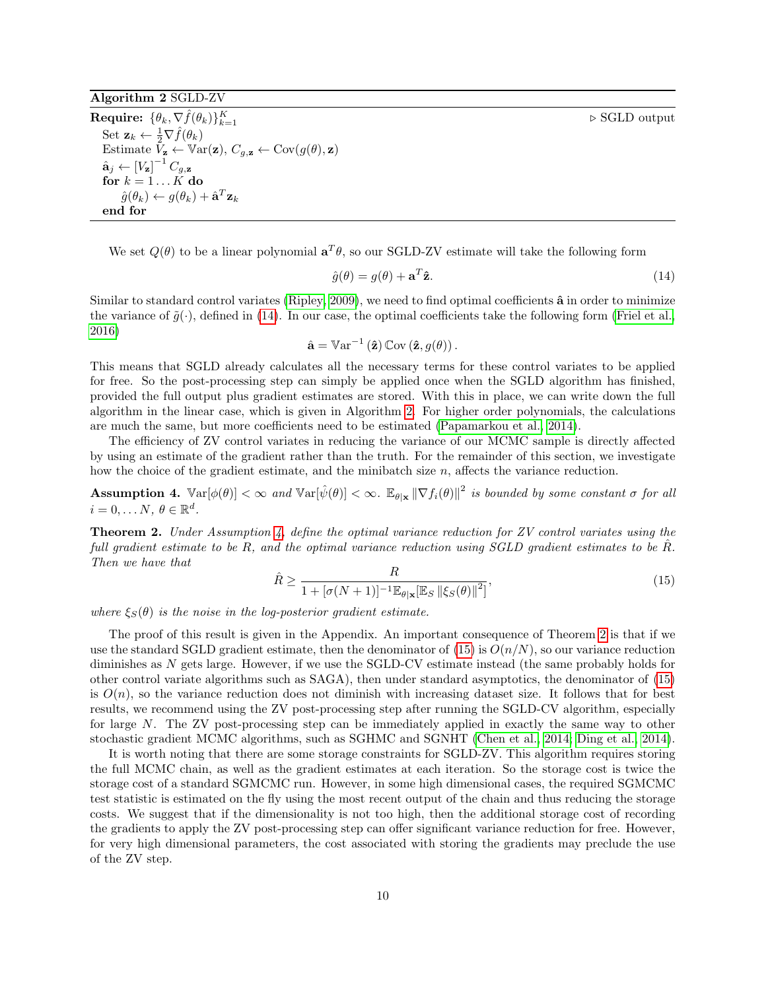#### $\triangleright$  SGLD output

### <span id="page-9-1"></span>Algorithm 2 SGLD-ZV

 $\textbf{Required: } \{\theta_k, \nabla \hat{f}(\theta_k)\}_{k=1}^K$ Set  $\mathbf{z}_k \leftarrow \frac{1}{2} \nabla \hat{f}(\theta_k)$ Estimate  $V_{\mathbf{z}} \leftarrow \mathbb{V}_{\text{ar}}(\mathbf{z}), C_{g, \mathbf{z}} \leftarrow \text{Cov}(g(\theta), \mathbf{z})$  $\hat{\mathbf{a}}_j \leftarrow [V_{\mathbf{z}}]^{-1} \, C_{g, \mathbf{z}}$ for  $k = 1...K$  do  $\hat{g}(\theta_k) \leftarrow g(\theta_k) + \hat{\mathbf{a}}^T \mathbf{z}_k$ end for

We set  $Q(\theta)$  to be a linear polynomial  $a^T\theta$ , so our SGLD-ZV estimate will take the following form

<span id="page-9-0"></span>
$$
\hat{g}(\theta) = g(\theta) + \mathbf{a}^T \hat{\mathbf{z}}.\tag{14}
$$

Similar to standard control variates [\(Ripley, 2009\)](#page-15-5), we need to find optimal coefficients  $\hat{a}$  in order to minimize the variance of  $\tilde{g}(\cdot)$ , defined in [\(14\)](#page-9-0). In our case, the optimal coefficients take the following form [\(Friel et al.,](#page-14-10) [2016\)](#page-14-10)

$$
\hat{\mathbf{a}} = \mathbb{V}\text{ar}^{-1}(\hat{\mathbf{z}})\,\mathbb{C}\text{ov}(\hat{\mathbf{z}},g(\theta)).
$$

This means that SGLD already calculates all the necessary terms for these control variates to be applied for free. So the post-processing step can simply be applied once when the SGLD algorithm has finished, provided the full output plus gradient estimates are stored. With this in place, we can write down the full algorithm in the linear case, which is given in Algorithm [2.](#page-9-1) For higher order polynomials, the calculations are much the same, but more coefficients need to be estimated [\(Papamarkou et al., 2014\)](#page-15-7).

The efficiency of ZV control variates in reducing the variance of our MCMC sample is directly affected by using an estimate of the gradient rather than the truth. For the remainder of this section, we investigate how the choice of the gradient estimate, and the minibatch size  $n$ , affects the variance reduction.

<span id="page-9-2"></span>**Assumption 4.**  $\text{Var}[\phi(\theta)] < \infty$  and  $\text{Var}[\hat{\psi}(\theta)] < \infty$ .  $\mathbb{E}_{\theta|\mathbf{x}} \|\nabla f_i(\theta)\|^2$  is bounded by some constant  $\sigma$  for all  $i = 0, \ldots N, \, \theta \in \mathbb{R}^d.$ 

**Theorem 2.** Under Assumption [4,](#page-9-2) define the optimal variance reduction for ZV control variates using the full gradient estimate to be R, and the optimal variance reduction using  $SGLD$  gradient estimates to be R. Then we have that

<span id="page-9-3"></span>
$$
\hat{R} \ge \frac{R}{1 + [\sigma(N+1)]^{-1} \mathbb{E}_{\theta|\mathbf{x}} [\mathbb{E}_S ||\xi_S(\theta)||^2]},
$$
\n(15)

where  $\xi_{S}(\theta)$  is the noise in the log-posterior gradient estimate.

The proof of this result is given in the Appendix. An important consequence of Theorem [2](#page-9-3) is that if we use the standard SGLD gradient estimate, then the denominator of  $(15)$  is  $O(n/N)$ , so our variance reduction diminishes as N gets large. However, if we use the SGLD-CV estimate instead (the same probably holds for other control variate algorithms such as SAGA), then under standard asymptotics, the denominator of [\(15\)](#page-9-3) is  $O(n)$ , so the variance reduction does not diminish with increasing dataset size. It follows that for best results, we recommend using the ZV post-processing step after running the SGLD-CV algorithm, especially for large N. The ZV post-processing step can be immediately applied in exactly the same way to other stochastic gradient MCMC algorithms, such as SGHMC and SGNHT [\(Chen et al., 2014;](#page-14-1) [Ding et al., 2014\)](#page-14-2).

It is worth noting that there are some storage constraints for SGLD-ZV. This algorithm requires storing the full MCMC chain, as well as the gradient estimates at each iteration. So the storage cost is twice the storage cost of a standard SGMCMC run. However, in some high dimensional cases, the required SGMCMC test statistic is estimated on the fly using the most recent output of the chain and thus reducing the storage costs. We suggest that if the dimensionality is not too high, then the additional storage cost of recording the gradients to apply the ZV post-processing step can offer significant variance reduction for free. However, for very high dimensional parameters, the cost associated with storing the gradients may preclude the use of the ZV step.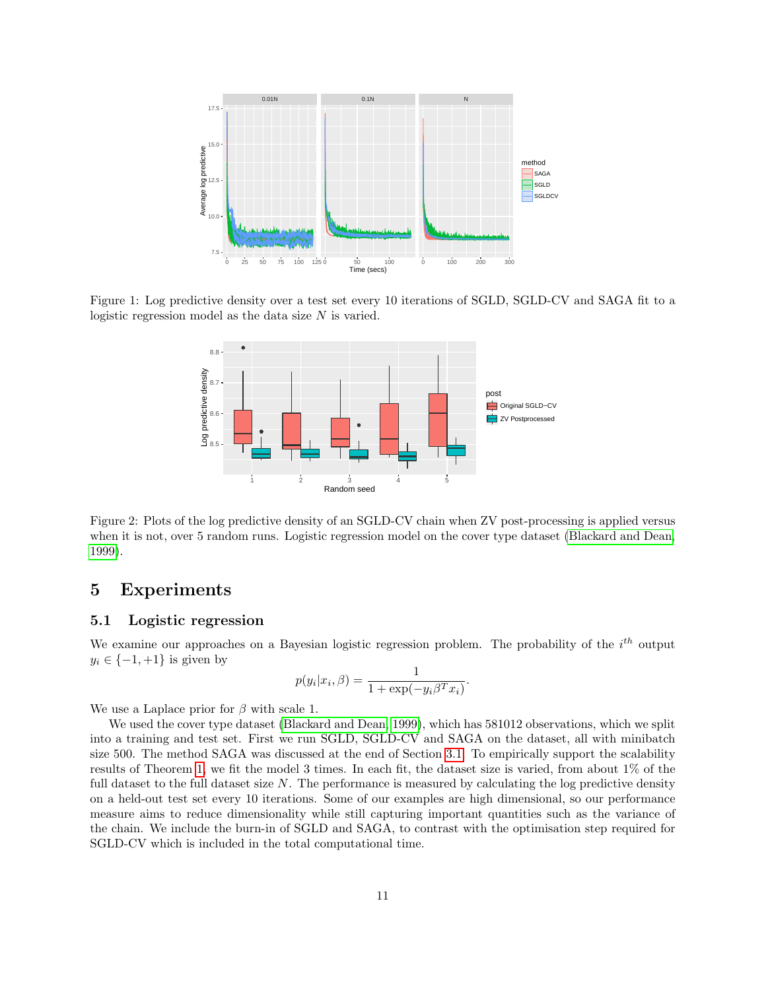

Figure 1: Log predictive density over a test set every 10 iterations of SGLD, SGLD-CV and SAGA fit to a logistic regression model as the data size  $N$  is varied.

<span id="page-10-1"></span>

<span id="page-10-2"></span>Figure 2: Plots of the log predictive density of an SGLD-CV chain when ZV post-processing is applied versus when it is not, over 5 random runs. Logistic regression model on the cover type dataset [\(Blackard and Dean,](#page-14-14) [1999\)](#page-14-14).

# <span id="page-10-0"></span>5 Experiments

### 5.1 Logistic regression

We examine our approaches on a Bayesian logistic regression problem. The probability of the  $i^{th}$  output  $y_i \in \{-1, +1\}$  is given by

$$
p(y_i|x_i, \beta) = \frac{1}{1 + \exp(-y_i \beta^T x_i)}.
$$

We use a Laplace prior for  $\beta$  with scale 1.

We used the cover type dataset [\(Blackard and Dean, 1999\)](#page-14-14), which has 581012 observations, which we split into a training and test set. First we run SGLD, SGLD-CV and SAGA on the dataset, all with minibatch size 500. The method SAGA was discussed at the end of Section [3.1.](#page-3-0) To empirically support the scalability results of Theorem [1,](#page-7-1) we fit the model 3 times. In each fit, the dataset size is varied, from about 1% of the full dataset to the full dataset size N. The performance is measured by calculating the log predictive density on a held-out test set every 10 iterations. Some of our examples are high dimensional, so our performance measure aims to reduce dimensionality while still capturing important quantities such as the variance of the chain. We include the burn-in of SGLD and SAGA, to contrast with the optimisation step required for SGLD-CV which is included in the total computational time.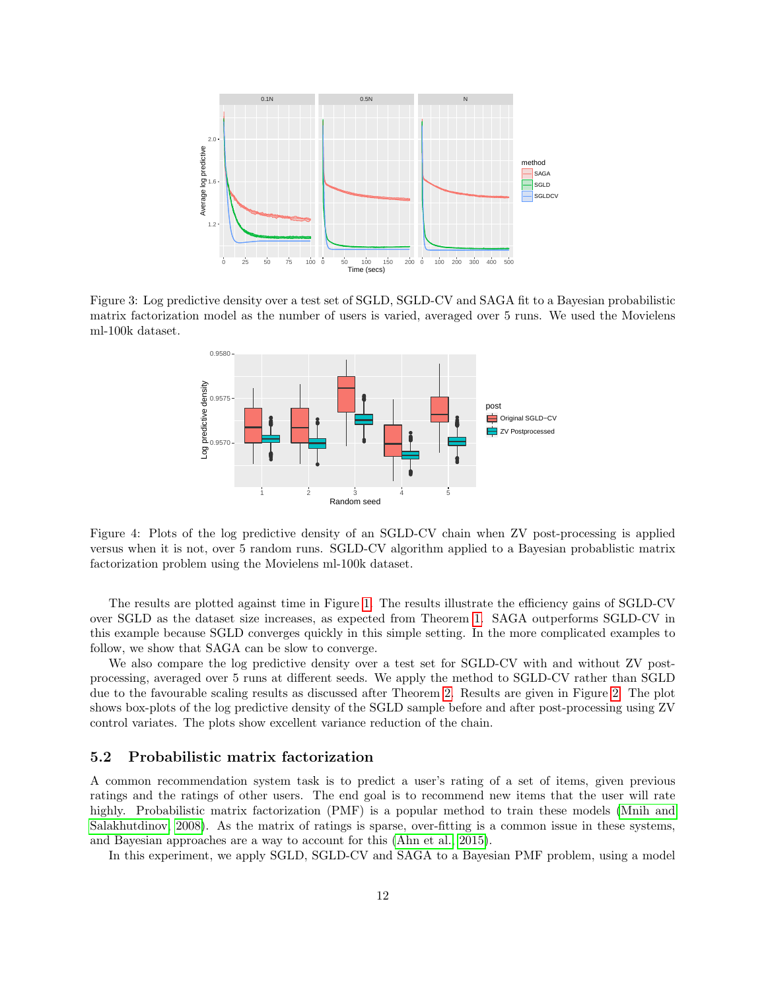

<span id="page-11-0"></span>Figure 3: Log predictive density over a test set of SGLD, SGLD-CV and SAGA fit to a Bayesian probabilistic matrix factorization model as the number of users is varied, averaged over 5 runs. We used the Movielens ml-100k dataset.



Figure 4: Plots of the log predictive density of an SGLD-CV chain when ZV post-processing is applied versus when it is not, over 5 random runs. SGLD-CV algorithm applied to a Bayesian probablistic matrix factorization problem using the Movielens ml-100k dataset.

The results are plotted against time in Figure [1.](#page-10-1) The results illustrate the efficiency gains of SGLD-CV over SGLD as the dataset size increases, as expected from Theorem [1.](#page-7-1) SAGA outperforms SGLD-CV in this example because SGLD converges quickly in this simple setting. In the more complicated examples to follow, we show that SAGA can be slow to converge.

We also compare the log predictive density over a test set for SGLD-CV with and without ZV postprocessing, averaged over 5 runs at different seeds. We apply the method to SGLD-CV rather than SGLD due to the favourable scaling results as discussed after Theorem [2.](#page-9-3) Results are given in Figure [2.](#page-10-2) The plot shows box-plots of the log predictive density of the SGLD sample before and after post-processing using ZV control variates. The plots show excellent variance reduction of the chain.

#### <span id="page-11-1"></span>5.2 Probabilistic matrix factorization

A common recommendation system task is to predict a user's rating of a set of items, given previous ratings and the ratings of other users. The end goal is to recommend new items that the user will rate highly. Probabilistic matrix factorization (PMF) is a popular method to train these models [\(Mnih and](#page-14-15) [Salakhutdinov, 2008\)](#page-14-15). As the matrix of ratings is sparse, over-fitting is a common issue in these systems, and Bayesian approaches are a way to account for this [\(Ahn et al., 2015\)](#page-14-16).

In this experiment, we apply SGLD, SGLD-CV and SAGA to a Bayesian PMF problem, using a model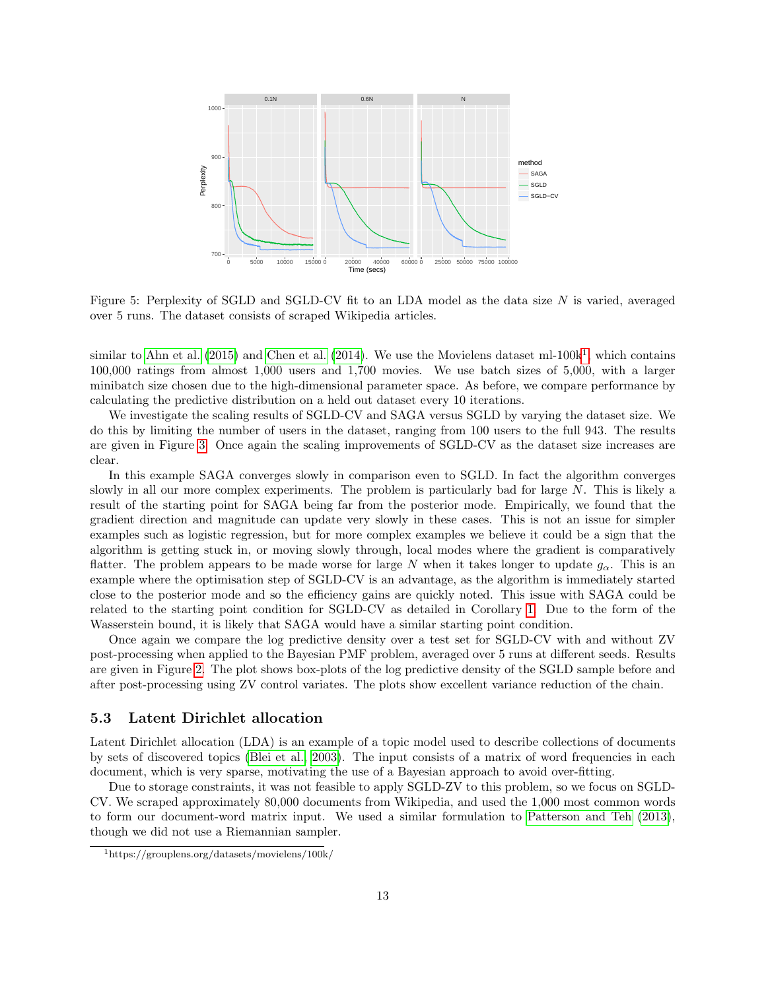

<span id="page-12-1"></span>Figure 5: Perplexity of SGLD and SGLD-CV fit to an LDA model as the data size N is varied, averaged over 5 runs. The dataset consists of scraped Wikipedia articles.

similar to Ahn et al.  $(2015)$  $(2015)$  $(2015)$  and Chen et al.  $(2014)$ . We use the Movielens dataset ml-100k<sup>1</sup>, which contains 100,000 ratings from almost 1,000 users and 1,700 movies. We use batch sizes of 5,000, with a larger minibatch size chosen due to the high-dimensional parameter space. As before, we compare performance by calculating the predictive distribution on a held out dataset every 10 iterations.

We investigate the scaling results of SGLD-CV and SAGA versus SGLD by varying the dataset size. We do this by limiting the number of users in the dataset, ranging from 100 users to the full 943. The results are given in Figure [3.](#page-11-0) Once again the scaling improvements of SGLD-CV as the dataset size increases are clear.

In this example SAGA converges slowly in comparison even to SGLD. In fact the algorithm converges slowly in all our more complex experiments. The problem is particularly bad for large  $N$ . This is likely a result of the starting point for SAGA being far from the posterior mode. Empirically, we found that the gradient direction and magnitude can update very slowly in these cases. This is not an issue for simpler examples such as logistic regression, but for more complex examples we believe it could be a sign that the algorithm is getting stuck in, or moving slowly through, local modes where the gradient is comparatively flatter. The problem appears to be made worse for large N when it takes longer to update  $g_{\alpha}$ . This is an example where the optimisation step of SGLD-CV is an advantage, as the algorithm is immediately started close to the posterior mode and so the efficiency gains are quickly noted. This issue with SAGA could be related to the starting point condition for SGLD-CV as detailed in Corollary [1.](#page-7-1) Due to the form of the Wasserstein bound, it is likely that SAGA would have a similar starting point condition.

Once again we compare the log predictive density over a test set for SGLD-CV with and without ZV post-processing when applied to the Bayesian PMF problem, averaged over 5 runs at different seeds. Results are given in Figure [2.](#page-10-2) The plot shows box-plots of the log predictive density of the SGLD sample before and after post-processing using ZV control variates. The plots show excellent variance reduction of the chain.

### 5.3 Latent Dirichlet allocation

Latent Dirichlet allocation (LDA) is an example of a topic model used to describe collections of documents by sets of discovered topics [\(Blei et al., 2003\)](#page-14-17). The input consists of a matrix of word frequencies in each document, which is very sparse, motivating the use of a Bayesian approach to avoid over-fitting.

Due to storage constraints, it was not feasible to apply SGLD-ZV to this problem, so we focus on SGLD-CV. We scraped approximately 80,000 documents from Wikipedia, and used the 1,000 most common words to form our document-word matrix input. We used a similar formulation to [Patterson and Teh \(2013\)](#page-15-1), though we did not use a Riemannian sampler.

<span id="page-12-0"></span><sup>1</sup>https://grouplens.org/datasets/movielens/100k/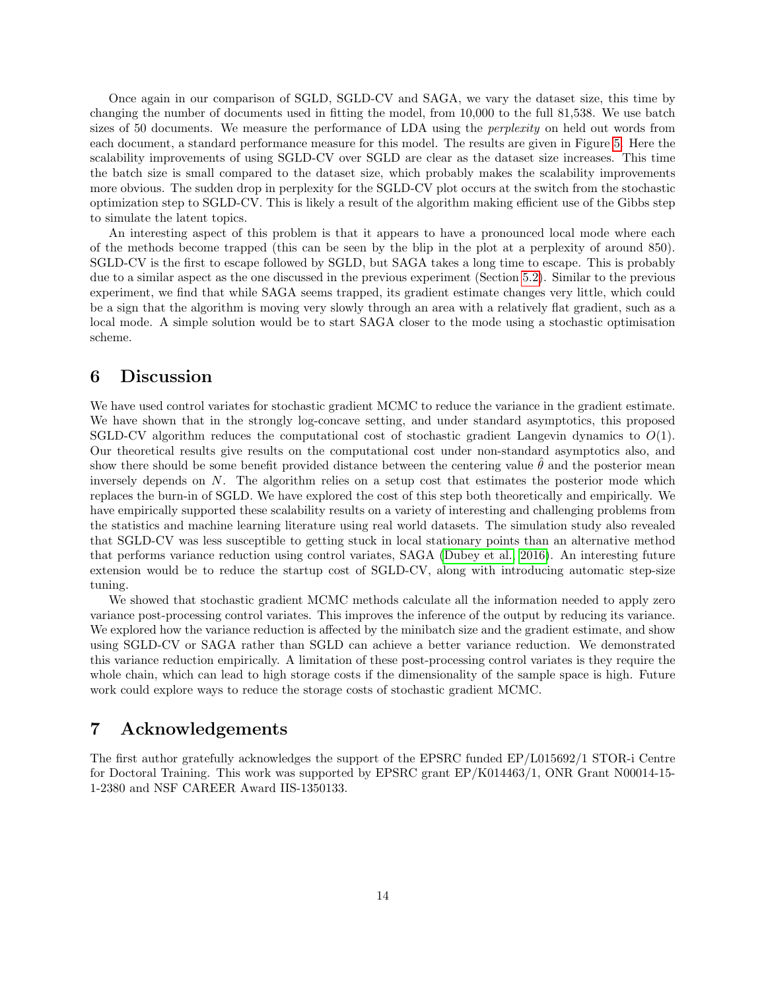Once again in our comparison of SGLD, SGLD-CV and SAGA, we vary the dataset size, this time by changing the number of documents used in fitting the model, from 10,000 to the full 81,538. We use batch sizes of 50 documents. We measure the performance of LDA using the *perplexity* on held out words from each document, a standard performance measure for this model. The results are given in Figure [5.](#page-12-1) Here the scalability improvements of using SGLD-CV over SGLD are clear as the dataset size increases. This time the batch size is small compared to the dataset size, which probably makes the scalability improvements more obvious. The sudden drop in perplexity for the SGLD-CV plot occurs at the switch from the stochastic optimization step to SGLD-CV. This is likely a result of the algorithm making efficient use of the Gibbs step to simulate the latent topics.

An interesting aspect of this problem is that it appears to have a pronounced local mode where each of the methods become trapped (this can be seen by the blip in the plot at a perplexity of around 850). SGLD-CV is the first to escape followed by SGLD, but SAGA takes a long time to escape. This is probably due to a similar aspect as the one discussed in the previous experiment (Section [5.2\)](#page-11-1). Similar to the previous experiment, we find that while SAGA seems trapped, its gradient estimate changes very little, which could be a sign that the algorithm is moving very slowly through an area with a relatively flat gradient, such as a local mode. A simple solution would be to start SAGA closer to the mode using a stochastic optimisation scheme.

# 6 Discussion

We have used control variates for stochastic gradient MCMC to reduce the variance in the gradient estimate. We have shown that in the strongly log-concave setting, and under standard asymptotics, this proposed SGLD-CV algorithm reduces the computational cost of stochastic gradient Langevin dynamics to  $O(1)$ . Our theoretical results give results on the computational cost under non-standard asymptotics also, and show there should be some benefit provided distance between the centering value  $\theta$  and the posterior mean inversely depends on N. The algorithm relies on a setup cost that estimates the posterior mode which replaces the burn-in of SGLD. We have explored the cost of this step both theoretically and empirically. We have empirically supported these scalability results on a variety of interesting and challenging problems from the statistics and machine learning literature using real world datasets. The simulation study also revealed that SGLD-CV was less susceptible to getting stuck in local stationary points than an alternative method that performs variance reduction using control variates, SAGA [\(Dubey et al., 2016\)](#page-14-3). An interesting future extension would be to reduce the startup cost of SGLD-CV, along with introducing automatic step-size tuning.

We showed that stochastic gradient MCMC methods calculate all the information needed to apply zero variance post-processing control variates. This improves the inference of the output by reducing its variance. We explored how the variance reduction is affected by the minibatch size and the gradient estimate, and show using SGLD-CV or SAGA rather than SGLD can achieve a better variance reduction. We demonstrated this variance reduction empirically. A limitation of these post-processing control variates is they require the whole chain, which can lead to high storage costs if the dimensionality of the sample space is high. Future work could explore ways to reduce the storage costs of stochastic gradient MCMC.

# 7 Acknowledgements

The first author gratefully acknowledges the support of the EPSRC funded EP/L015692/1 STOR-i Centre for Doctoral Training. This work was supported by EPSRC grant EP/K014463/1, ONR Grant N00014-15- 1-2380 and NSF CAREER Award IIS-1350133.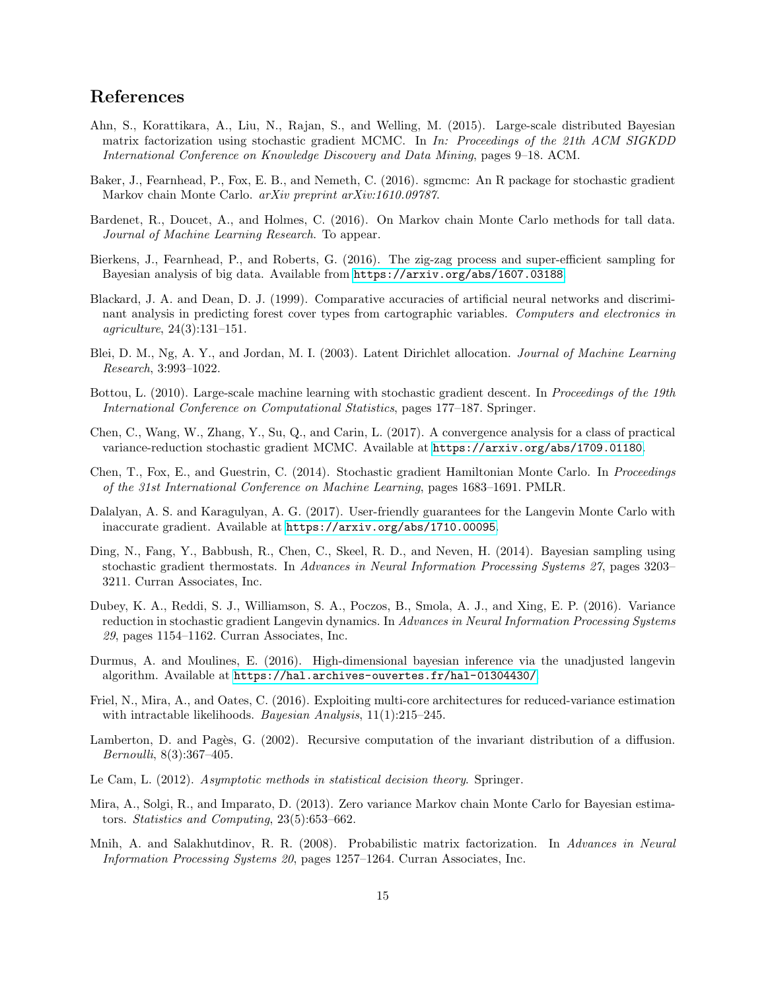# References

- <span id="page-14-16"></span>Ahn, S., Korattikara, A., Liu, N., Rajan, S., and Welling, M. (2015). Large-scale distributed Bayesian matrix factorization using stochastic gradient MCMC. In In: Proceedings of the 21th ACM SIGKDD International Conference on Knowledge Discovery and Data Mining, pages 9–18. ACM.
- <span id="page-14-4"></span>Baker, J., Fearnhead, P., Fox, E. B., and Nemeth, C. (2016). sgmcmc: An R package for stochastic gradient Markov chain Monte Carlo. arXiv preprint arXiv:1610.09787.
- <span id="page-14-6"></span>Bardenet, R., Doucet, A., and Holmes, C. (2016). On Markov chain Monte Carlo methods for tall data. Journal of Machine Learning Research. To appear.
- <span id="page-14-7"></span>Bierkens, J., Fearnhead, P., and Roberts, G. (2016). The zig-zag process and super-efficient sampling for Bayesian analysis of big data. Available from <https://arxiv.org/abs/1607.03188>.
- <span id="page-14-14"></span>Blackard, J. A. and Dean, D. J. (1999). Comparative accuracies of artificial neural networks and discriminant analysis in predicting forest cover types from cartographic variables. Computers and electronics in agriculture, 24(3):131–151.
- <span id="page-14-17"></span>Blei, D. M., Ng, A. Y., and Jordan, M. I. (2003). Latent Dirichlet allocation. Journal of Machine Learning Research, 3:993–1022.
- <span id="page-14-11"></span>Bottou, L. (2010). Large-scale machine learning with stochastic gradient descent. In Proceedings of the 19th International Conference on Computational Statistics, pages 177–187. Springer.
- <span id="page-14-8"></span>Chen, C., Wang, W., Zhang, Y., Su, Q., and Carin, L. (2017). A convergence analysis for a class of practical variance-reduction stochastic gradient MCMC. Available at <https://arxiv.org/abs/1709.01180>.
- <span id="page-14-1"></span>Chen, T., Fox, E., and Guestrin, C. (2014). Stochastic gradient Hamiltonian Monte Carlo. In Proceedings of the 31st International Conference on Machine Learning, pages 1683–1691. PMLR.
- <span id="page-14-5"></span>Dalalyan, A. S. and Karagulyan, A. G. (2017). User-friendly guarantees for the Langevin Monte Carlo with inaccurate gradient. Available at <https://arxiv.org/abs/1710.00095>.
- <span id="page-14-2"></span>Ding, N., Fang, Y., Babbush, R., Chen, C., Skeel, R. D., and Neven, H. (2014). Bayesian sampling using stochastic gradient thermostats. In Advances in Neural Information Processing Systems 27, pages 3203– 3211. Curran Associates, Inc.
- <span id="page-14-3"></span>Dubey, K. A., Reddi, S. J., Williamson, S. A., Poczos, B., Smola, A. J., and Xing, E. P. (2016). Variance reduction in stochastic gradient Langevin dynamics. In Advances in Neural Information Processing Systems 29, pages 1154–1162. Curran Associates, Inc.
- <span id="page-14-12"></span>Durmus, A. and Moulines, E. (2016). High-dimensional bayesian inference via the unadjusted langevin algorithm. Available at <https://hal.archives-ouvertes.fr/hal-01304430/>.
- <span id="page-14-10"></span>Friel, N., Mira, A., and Oates, C. (2016). Exploiting multi-core architectures for reduced-variance estimation with intractable likelihoods. *Bayesian Analysis*, 11(1):215–245.
- <span id="page-14-0"></span>Lamberton, D. and Pagès, G. (2002). Recursive computation of the invariant distribution of a diffusion. Bernoulli, 8(3):367–405.
- <span id="page-14-13"></span>Le Cam, L. (2012). Asymptotic methods in statistical decision theory. Springer.
- <span id="page-14-9"></span>Mira, A., Solgi, R., and Imparato, D. (2013). Zero variance Markov chain Monte Carlo for Bayesian estimators. Statistics and Computing, 23(5):653–662.
- <span id="page-14-15"></span>Mnih, A. and Salakhutdinov, R. R. (2008). Probabilistic matrix factorization. In Advances in Neural Information Processing Systems 20, pages 1257–1264. Curran Associates, Inc.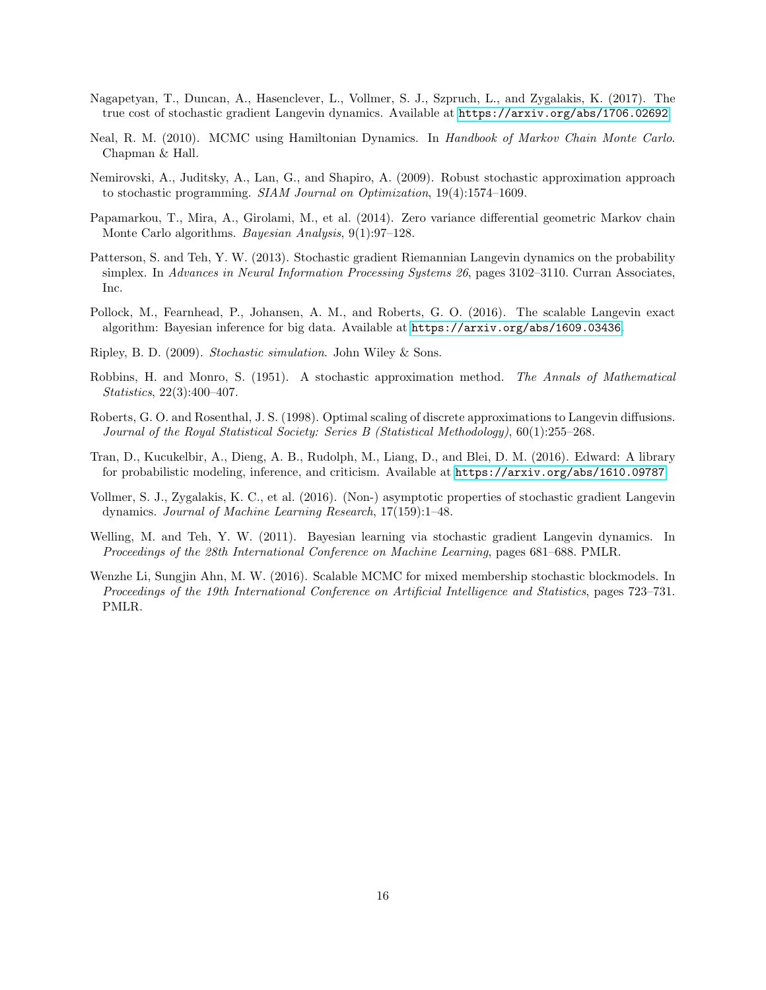- <span id="page-15-4"></span>Nagapetyan, T., Duncan, A., Hasenclever, L., Vollmer, S. J., Szpruch, L., and Zygalakis, K. (2017). The true cost of stochastic gradient Langevin dynamics. Available at <https://arxiv.org/abs/1706.02692>.
- <span id="page-15-9"></span>Neal, R. M. (2010). MCMC using Hamiltonian Dynamics. In Handbook of Markov Chain Monte Carlo. Chapman & Hall.
- <span id="page-15-12"></span>Nemirovski, A., Juditsky, A., Lan, G., and Shapiro, A. (2009). Robust stochastic approximation approach to stochastic programming. SIAM Journal on Optimization, 19(4):1574–1609.
- <span id="page-15-7"></span>Papamarkou, T., Mira, A., Girolami, M., et al. (2014). Zero variance differential geometric Markov chain Monte Carlo algorithms. *Bayesian Analysis*, 9(1):97–128.
- <span id="page-15-1"></span>Patterson, S. and Teh, Y. W. (2013). Stochastic gradient Riemannian Langevin dynamics on the probability simplex. In Advances in Neural Information Processing Systems 26, pages 3102–3110. Curran Associates, Inc.
- <span id="page-15-6"></span>Pollock, M., Fearnhead, P., Johansen, A. M., and Roberts, G. O. (2016). The scalable Langevin exact algorithm: Bayesian inference for big data. Available at <https://arxiv.org/abs/1609.03436>.
- <span id="page-15-5"></span>Ripley, B. D. (2009). Stochastic simulation. John Wiley & Sons.
- <span id="page-15-11"></span>Robbins, H. and Monro, S. (1951). A stochastic approximation method. The Annals of Mathematical Statistics, 22(3):400–407.
- <span id="page-15-8"></span>Roberts, G. O. and Rosenthal, J. S. (1998). Optimal scaling of discrete approximations to Langevin diffusions. Journal of the Royal Statistical Society: Series B (Statistical Methodology), 60(1):255–268.
- <span id="page-15-3"></span>Tran, D., Kucukelbir, A., Dieng, A. B., Rudolph, M., Liang, D., and Blei, D. M. (2016). Edward: A library for probabilistic modeling, inference, and criticism. Available at <https://arxiv.org/abs/1610.09787>.
- <span id="page-15-10"></span>Vollmer, S. J., Zygalakis, K. C., et al. (2016). (Non-) asymptotic properties of stochastic gradient Langevin dynamics. Journal of Machine Learning Research, 17(159):1–48.
- <span id="page-15-0"></span>Welling, M. and Teh, Y. W. (2011). Bayesian learning via stochastic gradient Langevin dynamics. In Proceedings of the 28th International Conference on Machine Learning, pages 681–688. PMLR.
- <span id="page-15-2"></span>Wenzhe Li, Sungjin Ahn, M. W. (2016). Scalable MCMC for mixed membership stochastic blockmodels. In Proceedings of the 19th International Conference on Artificial Intelligence and Statistics, pages 723–731. PMLR.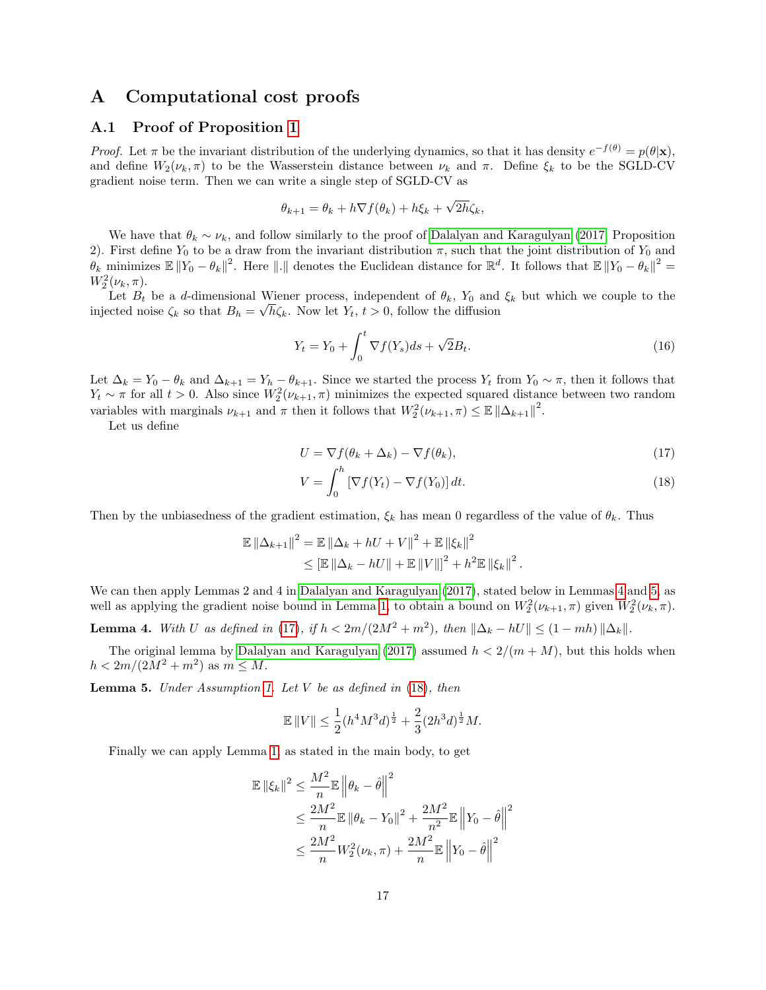## A Computational cost proofs

### A.1 Proof of Proposition [1](#page-6-0)

*Proof.* Let  $\pi$  be the invariant distribution of the underlying dynamics, so that it has density  $e^{-f(\theta)} = p(\theta|\mathbf{x})$ , and define  $W_2(\nu_k, \pi)$  to be the Wasserstein distance between  $\nu_k$  and  $\pi$ . Define  $\xi_k$  to be the SGLD-CV gradient noise term. Then we can write a single step of SGLD-CV as

$$
\theta_{k+1} = \theta_k + h \nabla f(\theta_k) + h \xi_k + \sqrt{2h} \zeta_k,
$$

We have that  $\theta_k \sim \nu_k$ , and follow similarly to the proof of [Dalalyan and Karagulyan \(2017,](#page-14-5) Proposition 2). First define  $Y_0$  to be a draw from the invariant distribution  $\pi$ , such that the joint distribution of  $Y_0$  and  $\theta_k$  minimizes  $\mathbb{E} \|Y_0 - \theta_k\|^2$ . Here  $\| \cdot \|$  denotes the Euclidean distance for  $\mathbb{R}^d$ . It follows that  $\mathbb{E} \|Y_0 - \theta_k\|^2 =$  $W_2^2(\nu_k, \pi)$ .

Let  $B_t$  be a d-dimensional Wiener process, independent of  $\theta_k$ ,  $Y_0$  and  $\xi_k$  but which we couple to the injected noise  $\zeta_k$  so that  $B_h = \sqrt{h \zeta_k}$ . Now let  $Y_t$ ,  $t > 0$ , follow the diffusion

$$
Y_t = Y_0 + \int_0^t \nabla f(Y_s) ds + \sqrt{2} B_t.
$$
 (16)

Let  $\Delta_k = Y_0 - \theta_k$  and  $\Delta_{k+1} = Y_h - \theta_{k+1}$ . Since we started the process  $Y_t$  from  $Y_0 \sim \pi$ , then it follows that  $Y_t \sim \pi$  for all  $t > 0$ . Also since  $W_2^2(\nu_{k+1}, \pi)$  minimizes the expected squared distance between two random variables with marginals  $\nu_{k+1}$  and  $\pi$  then it follows that  $W_2^2(\nu_{k+1}, \pi) \leq \mathbb{E} \|\Delta_{k+1}\|^2$ .

Let us define

<span id="page-16-2"></span>
$$
U = \nabla f(\theta_k + \Delta_k) - \nabla f(\theta_k),\tag{17}
$$

<span id="page-16-3"></span>
$$
V = \int_0^h \left[ \nabla f(Y_t) - \nabla f(Y_0) \right] dt.
$$
 (18)

Then by the unbiasedness of the gradient estimation,  $\xi_k$  has mean 0 regardless of the value of  $\theta_k$ . Thus

$$
\mathbb{E} \| \Delta_{k+1} \|^2 = \mathbb{E} \| \Delta_k + hU + V \|^2 + \mathbb{E} \| \xi_k \|^2
$$
  
\$\leq\$ 
$$
\mathbb{E} \| \Delta_k - hU \| + \mathbb{E} \| V \| \|^2 + h^2 \mathbb{E} \| \xi_k \|^2.
$$

We can then apply Lemmas 2 and 4 in [Dalalyan and Karagulyan \(2017\)](#page-14-5), stated below in Lemmas [4](#page-16-0) and [5,](#page-16-1) as well as applying the gradient noise bound in Lemma [1,](#page-4-3) to obtain a bound on  $W_2^2(\nu_{k+1}, \pi)$  given  $W_2^2(\nu_k, \pi)$ .

<span id="page-16-0"></span>**Lemma 4.** With U as defined in [\(17\)](#page-16-2), if  $h < 2m/(2M^2 + m^2)$ , then  $\|\Delta_k - hU\| \le (1 - mh) \|\Delta_k\|$ .

The original lemma by [Dalalyan and Karagulyan \(2017\)](#page-14-5) assumed  $h < 2/(m + M)$ , but this holds when  $h < 2m/(2M^2 + m^2)$  as  $m \leq M$ .

<span id="page-16-1"></span>**Lemma 5.** Under Assumption [1.](#page-4-1) Let  $V$  be as defined in  $(18)$ , then

$$
\mathbb{E}\,\|V\| \leq \frac{1}{2} (h^4 M^3 d)^{\frac{1}{2}} + \frac{2}{3} (2h^3 d)^{\frac{1}{2}} M.
$$

Finally we can apply Lemma [1,](#page-4-3) as stated in the main body, to get

$$
\mathbb{E} \left\| \xi_k \right\|^2 \leq \frac{M^2}{n} \mathbb{E} \left\| \theta_k - \hat{\theta} \right\|^2
$$
  

$$
\leq \frac{2M^2}{n} \mathbb{E} \left\| \theta_k - Y_0 \right\|^2 + \frac{2M^2}{n^2} \mathbb{E} \left\| Y_0 - \hat{\theta} \right\|^2
$$
  

$$
\leq \frac{2M^2}{n} W_2^2(\nu_k, \pi) + \frac{2M^2}{n} \mathbb{E} \left\| Y_0 - \hat{\theta} \right\|^2
$$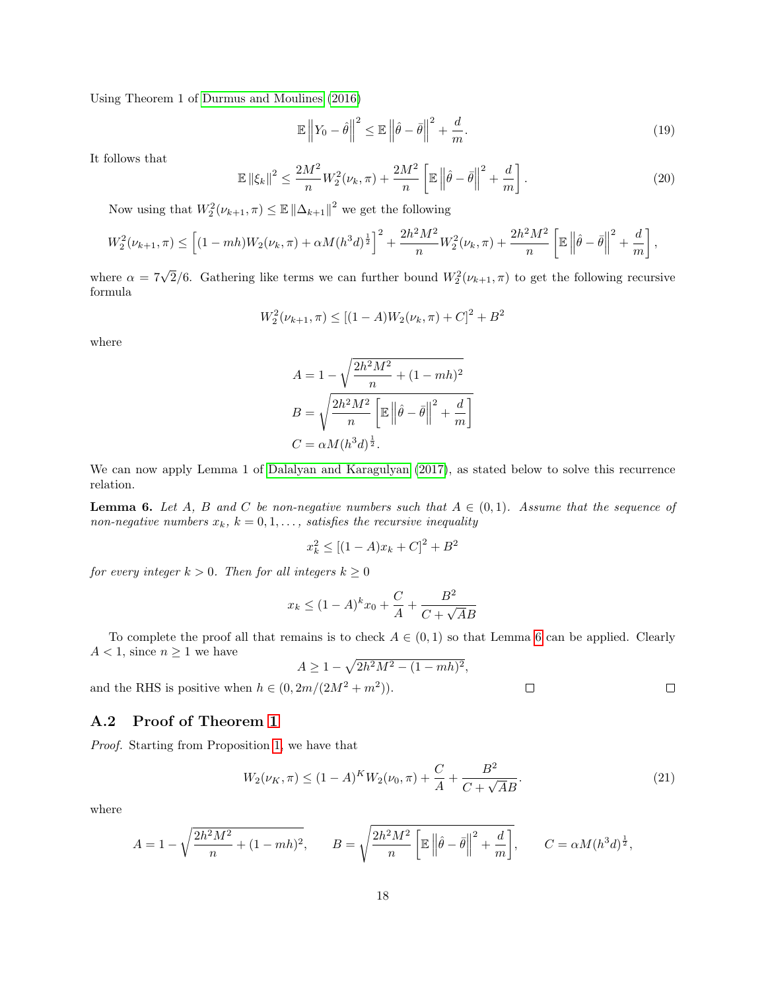Using Theorem 1 of [Durmus and Moulines \(2016\)](#page-14-12)

$$
\mathbb{E}\left\|Y_0 - \hat{\theta}\right\|^2 \le \mathbb{E}\left\|\hat{\theta} - \bar{\theta}\right\|^2 + \frac{d}{m}.\tag{19}
$$

It follows that

$$
\mathbb{E}\left\|\xi_k\right\|^2 \le \frac{2M^2}{n}W_2^2(\nu_k, \pi) + \frac{2M^2}{n} \left[\mathbb{E}\left\|\hat{\theta} - \bar{\theta}\right\|^2 + \frac{d}{m}\right].\tag{20}
$$

Now using that  $W_2^2(\nu_{k+1}, \pi) \leq \mathbb{E} \left\| \Delta_{k+1} \right\|^2$  we get the following

$$
W_2^2(\nu_{k+1}, \pi) \leq \left[ (1 - mh)W_2(\nu_k, \pi) + \alpha M (h^3 d)^{\frac{1}{2}} \right]^2 + \frac{2h^2 M^2}{n} W_2^2(\nu_k, \pi) + \frac{2h^2 M^2}{n} \left[ \mathbb{E} \left\| \hat{\theta} - \bar{\theta} \right\|^2 + \frac{d}{m} \right],
$$

where  $\alpha = 7\sqrt{2}/6$ . Gathering like terms we can further bound  $W_2^2(\nu_{k+1}, \pi)$  to get the following recursive formula

$$
W_2^2(\nu_{k+1}, \pi) \le [(1-A)W_2(\nu_k, \pi) + C]^2 + B^2
$$

where

$$
A = 1 - \sqrt{\frac{2h^2M^2}{n} + (1 - mh)^2}
$$

$$
B = \sqrt{\frac{2h^2M^2}{n} \left[\mathbb{E}\left\|\hat{\theta} - \bar{\theta}\right\|^2 + \frac{d}{m}\right]}
$$

$$
C = \alpha M (h^3 d)^{\frac{1}{2}}.
$$

We can now apply Lemma 1 of [Dalalyan and Karagulyan \(2017\)](#page-14-5), as stated below to solve this recurrence relation.

<span id="page-17-0"></span>**Lemma 6.** Let A, B and C be non-negative numbers such that  $A \in (0,1)$ . Assume that the sequence of non-negative numbers  $x_k$ ,  $k = 0, 1, \ldots$ , satisfies the recursive inequality

$$
x_k^2 \le [(1-A)x_k + C]^2 + B^2
$$

for every integer  $k > 0$ . Then for all integers  $k \geq 0$ 

$$
x_k \le (1 - A)^k x_0 + \frac{C}{A} + \frac{B^2}{C + \sqrt{A}B}
$$

To complete the proof all that remains is to check  $A \in (0,1)$  so that Lemma [6](#page-17-0) can be applied. Clearly  $A < 1$ , since  $n \geq 1$  we have

$$
A \ge 1 - \sqrt{2h^2M^2 - (1 - mh)^2},
$$

and the RHS is positive when  $h \in (0, 2m/(2M^2 + m^2)).$ 

## A.2 Proof of Theorem [1](#page-6-1)

Proof. Starting from Proposition [1,](#page-6-0) we have that

<span id="page-17-1"></span>
$$
W_2(\nu_K, \pi) \le (1 - A)^K W_2(\nu_0, \pi) + \frac{C}{A} + \frac{B^2}{C + \sqrt{A}B}.
$$
\n(21)

 $\Box$ 

 $\Box$ 

where

$$
A = 1 - \sqrt{\frac{2h^2M^2}{n} + (1 - mh)^2}, \qquad B = \sqrt{\frac{2h^2M^2}{n} \left[\mathbb{E}\left\|\hat{\theta} - \bar{\theta}\right\|^2 + \frac{d}{m}\right]}, \qquad C = \alpha M (h^3 d)^{\frac{1}{2}},
$$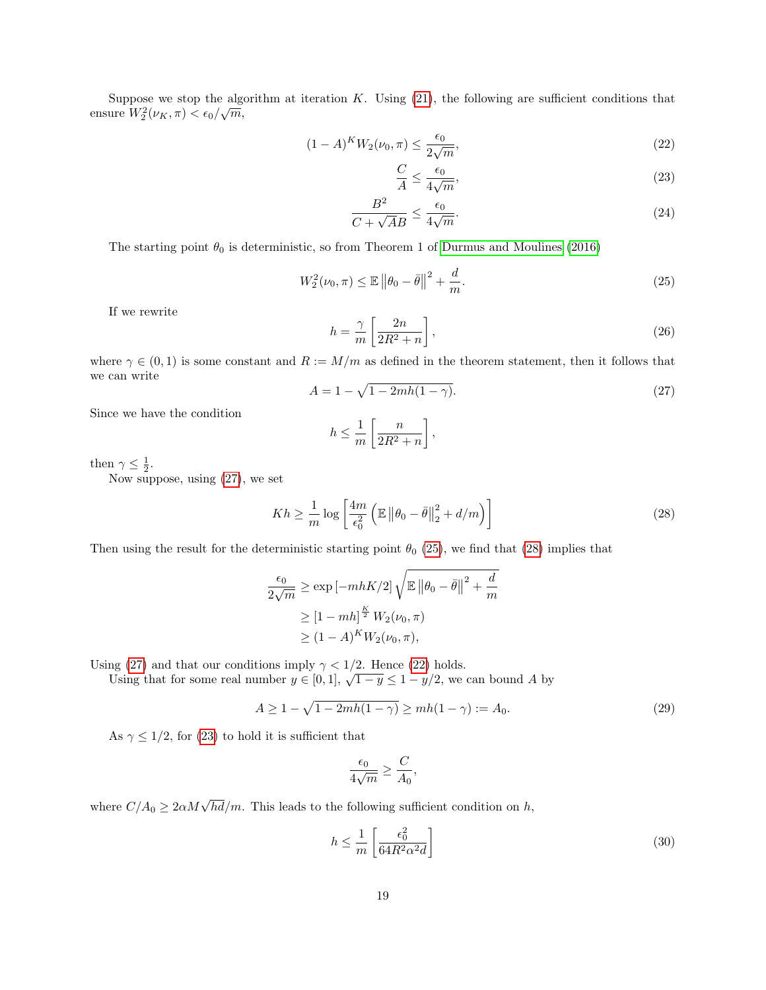Suppose we stop the algorithm at iteration K. Using [\(21\)](#page-17-1), the following are sufficient conditions that ensure  $W_2^2(\nu_K, \pi) < \epsilon_0/\sqrt{m}$ ,

$$
(1 - A)^{K} W_2(\nu_0, \pi) \le \frac{\epsilon_0}{2\sqrt{m}},
$$
\n(22)

<span id="page-18-5"></span><span id="page-18-4"></span><span id="page-18-3"></span>
$$
\frac{C}{A} \le \frac{\epsilon_0}{4\sqrt{m}},\tag{23}
$$

$$
\frac{B^2}{C + \sqrt{A}B} \le \frac{\epsilon_0}{4\sqrt{m}}.\tag{24}
$$

The starting point  $\theta_0$  is deterministic, so from Theorem 1 of [Durmus and Moulines \(2016\)](#page-14-12)

<span id="page-18-1"></span>
$$
W_2^2(\nu_0, \pi) \le \mathbb{E} \| \theta_0 - \bar{\theta} \|^2 + \frac{d}{m}.
$$
 (25)

If we rewrite

$$
h = \frac{\gamma}{m} \left[ \frac{2n}{2R^2 + n} \right],\tag{26}
$$

where  $\gamma \in (0,1)$  is some constant and  $R := M/m$  as defined in the theorem statement, then it follows that we can write

<span id="page-18-0"></span>
$$
A = 1 - \sqrt{1 - 2mh(1 - \gamma)}.
$$
\n(27)

Since we have the condition

$$
h \le \frac{1}{m} \left[ \frac{n}{2R^2 + n} \right],
$$

then  $\gamma \leq \frac{1}{2}$ .

Now suppose, using [\(27\)](#page-18-0), we set

<span id="page-18-2"></span>
$$
Kh \geq \frac{1}{m} \log \left[ \frac{4m}{\epsilon_0^2} \left( \mathbb{E} \left\| \theta_0 - \bar{\theta} \right\|_2^2 + d/m \right) \right]
$$
 (28)

Then using the result for the deterministic starting point  $\theta_0$  [\(25\)](#page-18-1), we find that [\(28\)](#page-18-2) implies that

$$
\frac{\epsilon_0}{2\sqrt{m}} \ge \exp\left[-mhK/2\right] \sqrt{\mathbb{E} \left\|\theta_0 - \bar{\theta}\right\|^2 + \frac{d}{m}}
$$

$$
\ge \left[1 - mh\right]^{\frac{K}{2}} W_2(\nu_0, \pi)
$$

$$
\ge (1 - A)^K W_2(\nu_0, \pi),
$$

Using [\(27\)](#page-18-0) and that our conditions imply  $\gamma < 1/2$ . Hence [\(22\)](#page-18-3) holds.

Using that for some real number  $y \in [0,1]$ ,  $\sqrt{1-y} \le 1 - y/2$ , we can bound A by

$$
A \ge 1 - \sqrt{1 - 2mh(1 - \gamma)} \ge mh(1 - \gamma) := A_0.
$$
 (29)

As  $\gamma \leq 1/2$ , for [\(23\)](#page-18-4) to hold it is sufficient that

$$
\frac{\epsilon_0}{4\sqrt{m}} \ge \frac{C}{A_0},
$$

where  $C/A_0 \geq 2\alpha M\sqrt{hd}/m$ . This leads to the following sufficient condition on h,

$$
h \le \frac{1}{m} \left[ \frac{\epsilon_0^2}{64R^2 \alpha^2 d} \right] \tag{30}
$$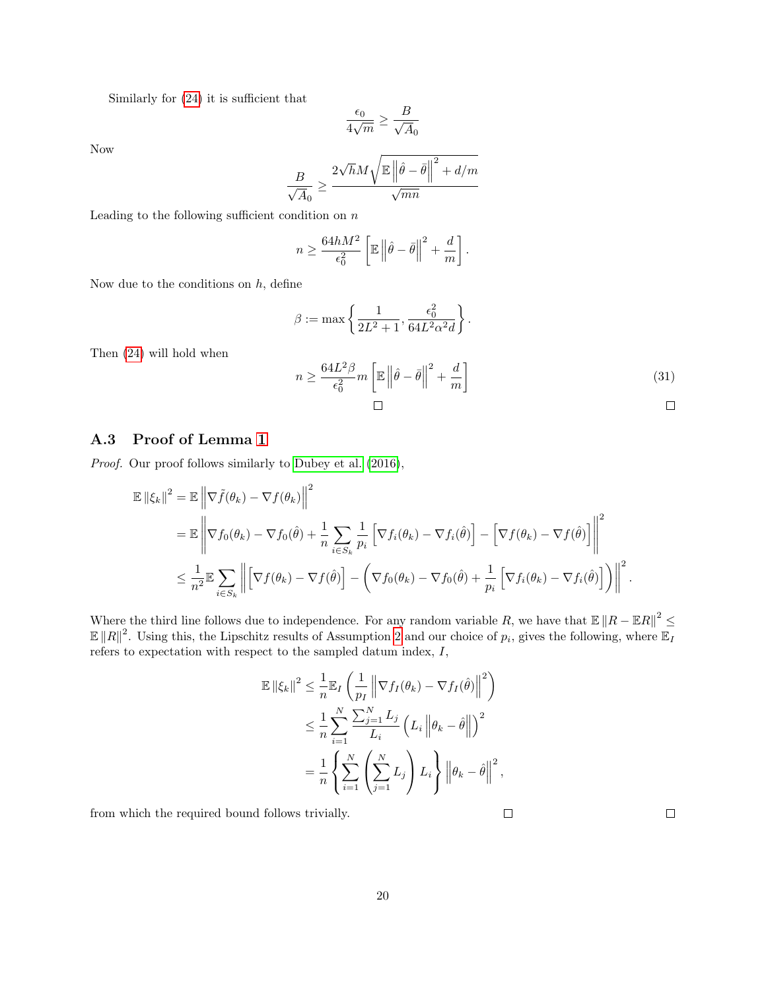Similarly for [\(24\)](#page-18-5) it is sufficient that

$$
\frac{\epsilon_0}{4\sqrt{m}}\geq \frac{B}{\sqrt{A}_0}
$$

Now

$$
\frac{B}{\sqrt{A_0}} \ge \frac{2\sqrt{h}M\sqrt{\mathbb{E}\left\|\hat{\theta} - \bar{\theta}\right\|^2 + d/m}}{\sqrt{mn}}
$$

Leading to the following sufficient condition on  $n$ 

$$
n \ge \frac{64hM^2}{\epsilon_0^2} \left[ \mathbb{E} \left\| \hat{\theta} - \bar{\theta} \right\|^2 + \frac{d}{m} \right].
$$

Now due to the conditions on  $h$ , define

$$
\beta := \max \left\{ \frac{1}{2L^2 + 1}, \frac{\epsilon_0^2}{64L^2 \alpha^2 d} \right\}.
$$

$$
n \ge \frac{64L^2 \beta}{\epsilon_0^2} m \left[ \mathbb{E} \left\| \hat{\theta} - \bar{\theta} \right\|^2 + \frac{d}{m} \right]
$$
(31)

### A.3 Proof of Lemma [1](#page-4-3)

Then [\(24\)](#page-18-5) will hold when

Proof. Our proof follows similarly to [Dubey et al. \(2016\)](#page-14-3),

$$
\mathbb{E} ||\xi_k||^2 = \mathbb{E} \left\| \nabla \tilde{f}(\theta_k) - \nabla f(\theta_k) \right\|^2
$$
  
\n
$$
= \mathbb{E} \left\| \nabla f_0(\theta_k) - \nabla f_0(\hat{\theta}) + \frac{1}{n} \sum_{i \in S_k} \frac{1}{p_i} \left[ \nabla f_i(\theta_k) - \nabla f_i(\hat{\theta}) \right] - \left[ \nabla f(\theta_k) - \nabla f(\hat{\theta}) \right] \right\|^2
$$
  
\n
$$
\leq \frac{1}{n^2} \mathbb{E} \sum_{i \in S_k} \left\| \left[ \nabla f(\theta_k) - \nabla f(\hat{\theta}) \right] - \left( \nabla f_0(\theta_k) - \nabla f_0(\hat{\theta}) + \frac{1}{p_i} \left[ \nabla f_i(\theta_k) - \nabla f_i(\hat{\theta}) \right] \right) \right\|^2.
$$

Where the third line follows due to independence. For any random variable R, we have that  $\mathbb{E} \|R - \mathbb{E}R\|^2 \le$  $\mathbb{E} \|R\|^2$ . Using this, the Lipschitz results of Assumption [2](#page-4-2) and our choice of  $p_i$ , gives the following, where  $\mathbb{E}_I$ refers to expectation with respect to the sampled datum index, I,

$$
\mathbb{E} \left\| \xi_k \right\|^2 \leq \frac{1}{n} \mathbb{E}_I \left( \frac{1}{p_I} \left\| \nabla f_I(\theta_k) - \nabla f_I(\hat{\theta}) \right\|^2 \right)
$$
  

$$
\leq \frac{1}{n} \sum_{i=1}^N \frac{\sum_{j=1}^N L_j}{L_i} \left( L_i \left\| \theta_k - \hat{\theta} \right\| \right)^2
$$
  

$$
= \frac{1}{n} \left\{ \sum_{i=1}^N \left( \sum_{j=1}^N L_j \right) L_i \right\} \left\| \theta_k - \hat{\theta} \right\|^2,
$$

from which the required bound follows trivially.

 $\Box$ 

 $\Box$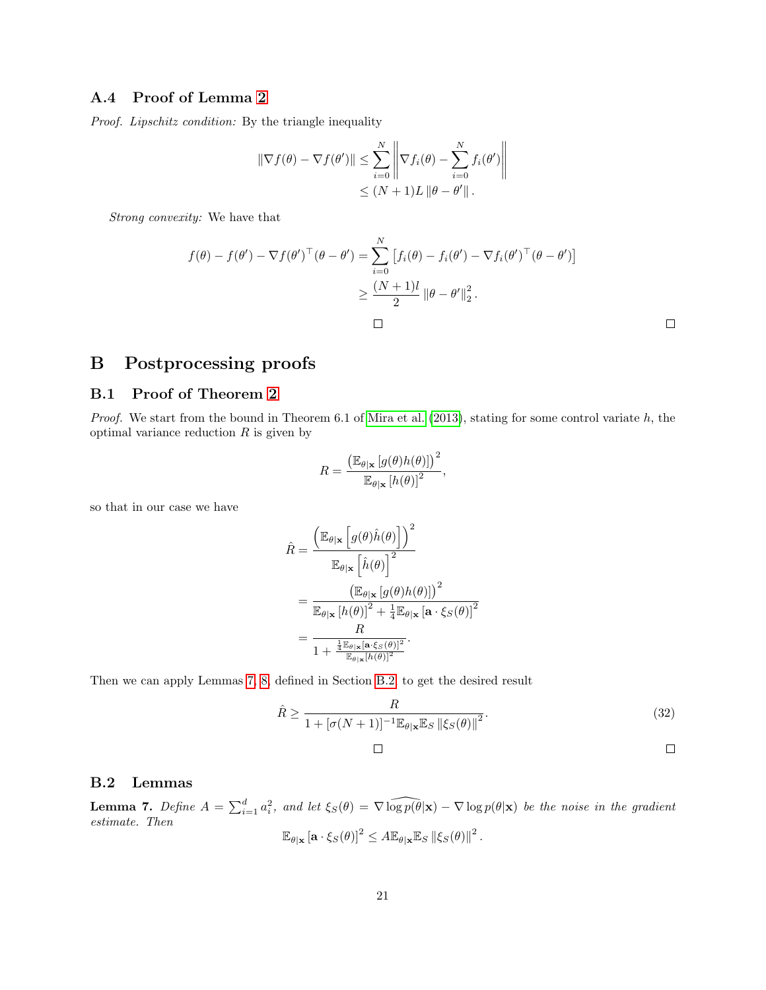### A.4 Proof of Lemma [2](#page-5-2)

Proof. Lipschitz condition: By the triangle inequality

$$
\|\nabla f(\theta) - \nabla f(\theta')\| \le \sum_{i=0}^N \left\|\nabla f_i(\theta) - \sum_{i=0}^N f_i(\theta')\right\|
$$
  

$$
\le (N+1)L \|\theta - \theta'\|.
$$

Strong convexity: We have that

$$
f(\theta) - f(\theta') - \nabla f(\theta')^{\top}(\theta - \theta') = \sum_{i=0}^{N} \left[ f_i(\theta) - f_i(\theta') - \nabla f_i(\theta')^{\top}(\theta - \theta') \right]
$$
  

$$
\geq \frac{(N+1)l}{2} ||\theta - \theta'||_2^2.
$$

# B Postprocessing proofs

## B.1 Proof of Theorem [2](#page-9-3)

Proof. We start from the bound in Theorem  $6.1$  of [Mira et al. \(2013\)](#page-14-9), stating for some control variate  $h$ , the optimal variance reduction  $R$  is given by

$$
R = \frac{\left(\mathbb{E}_{\theta|\mathbf{x}}\left[g(\theta)h(\theta)\right]\right)^2}{\mathbb{E}_{\theta|\mathbf{x}}\left[h(\theta)\right]^2},
$$

so that in our case we have

$$
\hat{R} = \frac{\left(\mathbb{E}_{\theta|\mathbf{x}}\left[g(\theta)\hat{h}(\theta)\right]\right)^2}{\mathbb{E}_{\theta|\mathbf{x}}\left[\hat{h}(\theta)\right]^2}
$$
\n
$$
= \frac{\left(\mathbb{E}_{\theta|\mathbf{x}}\left[g(\theta)h(\theta)\right]\right)^2}{\mathbb{E}_{\theta|\mathbf{x}}\left[h(\theta)\right]^2 + \frac{1}{4}\mathbb{E}_{\theta|\mathbf{x}}\left[\mathbf{a}\cdot\xi_S(\theta)\right]^2}
$$
\n
$$
= \frac{R}{1 + \frac{\frac{1}{4}\mathbb{E}_{\theta|\mathbf{x}}\left[\mathbf{a}\cdot\xi_S(\theta)\right]^2}{\mathbb{E}_{\theta|\mathbf{x}}\left[h(\theta)\right]^2}}.
$$

Then we can apply Lemmas [7,](#page-20-0) [8,](#page-21-0) defined in Section [B.2,](#page-20-1) to get the desired result

$$
\hat{R} \ge \frac{R}{1 + [\sigma(N+1)]^{-1} \mathbb{E}_{\theta|\mathbf{x}} \mathbb{E}_S \left\| \xi_S(\theta) \right\|^2}.
$$
\n(32)

$$
\mathcal{L}^{\mathcal{L}}(\mathcal{L}^{\mathcal{L}}(\mathcal{L}^{\mathcal{L}}(\mathcal{L}^{\mathcal{L}}(\mathcal{L}^{\mathcal{L}}(\mathcal{L}^{\mathcal{L}}(\mathcal{L}^{\mathcal{L}}(\mathcal{L}^{\mathcal{L}}(\mathcal{L}^{\mathcal{L}}(\mathcal{L}^{\mathcal{L}}(\mathcal{L}^{\mathcal{L}}(\mathcal{L}^{\mathcal{L}}(\mathcal{L}^{\mathcal{L}}(\mathcal{L}^{\mathcal{L}}(\mathcal{L}^{\mathcal{L}}(\mathcal{L}^{\mathcal{L}}(\mathcal{L}^{\mathcal{L}}(\mathcal{L}^{\mathcal{L}}(\mathcal{L}^{\mathcal{L}}(\mathcal{L}^{\mathcal{L}}(\mathcal{L}^{\mathcal{L}}(\mathcal{L}^{\mathcal{L}}(\mathcal{L}^{\mathcal{L}}(\mathcal{L}^{\mathcal{L}}(\mathcal{L}^{\mathcal{L}}(\mathcal{L}^{\mathcal{L}}(\mathcal{L}^{\mathcal{L}}(\mathcal{L}^{\mathcal{L}}(\mathcal{L}^{\mathcal{L}}(\mathcal{L}^{\mathcal{L}}(\mathcal{L}^{\mathcal{L}}(\mathcal{L}^{\mathcal{L}}(\mathcal{L}^{\mathcal{L}}(\mathcal{L}^{\mathcal{L}}(\mathcal{L}^{\mathcal{L}}(\mathcal{L}^{\mathcal{L}}(\mathcal{L}^{\mathcal{L}}(\mathcal{L}^{\mathcal{L}}(\mathcal{L}^{\mathcal{L}}(\mathcal{L}^{\mathcal{L}}(\mathcal{L}^{\mathcal{L}}(\mathcal{L}^{\mathcal{L}}(\mathcal{L}^{\mathcal{L}}(\mathcal{L}^{\mathcal{L}}(\mathcal{L}^{\mathcal{L}}(\mathcal{L}^{\mathcal{L}}(\mathcal{L}^{\mathcal{L}}(\mathcal{L}^{\mathcal{L}}(\mathcal{L}^{\mathcal{L}}(\mathcal{L}^{\mathcal{L}}(\mathcal{L}^{\mathcal{L}}(\mathcal{L}^{\mathcal{L}}(\mathcal{L}^{\mathcal{L}}(\mathcal{L}^{\mathcal{L}}(\mathcal{L}^{\mathcal{L}}(\mathcal{L}^{\mathcal{L}}(\mathcal{L}^{\mathcal{L}}(\mathcal{L}^{\mathcal{L}}(\mathcal{L}
$$

### <span id="page-20-1"></span>B.2 Lemmas

<span id="page-20-0"></span>**Lemma 7.** Define  $A = \sum_{i=1}^d a_i^2$ , and let  $\xi_S(\theta) = \nabla \widehat{\log p(\theta|\mathbf{x})} - \nabla \log p(\theta|\mathbf{x})$  be the noise in the gradient estimate. Then

 $\Box$ 

$$
\mathbb{E}_{\theta|\mathbf{x}}\left[\mathbf{a}\cdot\xi_S(\theta)\right]^2 \leq A\mathbb{E}_{\theta|\mathbf{x}}\mathbb{E}_S\left\|\xi_S(\theta)\right\|^2.
$$